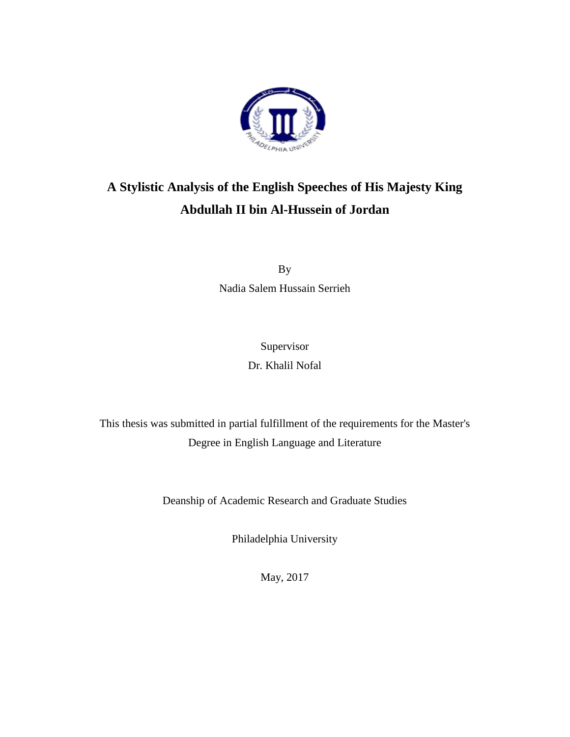

# **A Stylistic Analysis of the English Speeches of His Majesty King Abdullah II bin Al-Hussein of Jordan**

By Nadia Salem Hussain Serrieh

> Supervisor Dr. Khalil Nofal

This thesis was submitted in partial fulfillment of the requirements for the Master's Degree in English Language and Literature

Deanship of Academic Research and Graduate Studies

Philadelphia University

May, 2017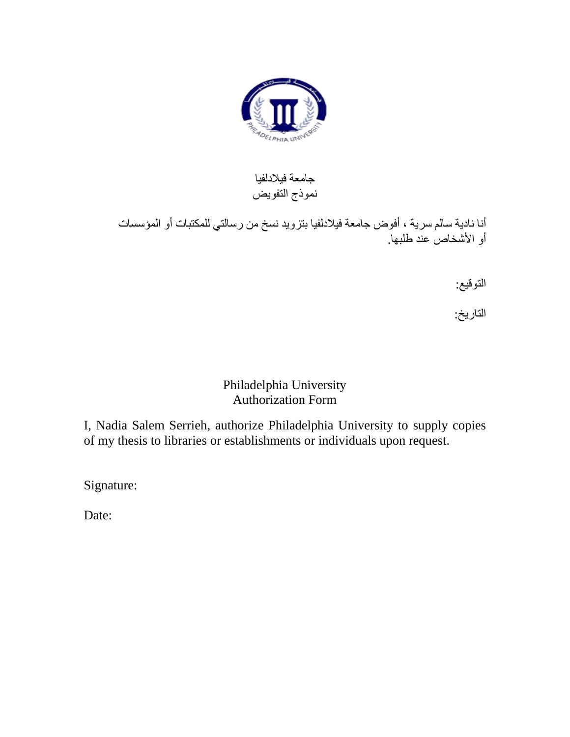

### جامعة فيالدلفيا نموذج التفويض

أنا نادية سالم سرية ، أفوض جامعة فيالدلفيا بتزويد نسخ من رسالتي للمكتبات أو المؤسسات أو الأشخاص عند طلبها.

التوقيع:

التاريخ:

### Philadelphia University Authorization Form

I, Nadia Salem Serrieh, authorize Philadelphia University to supply copies of my thesis to libraries or establishments or individuals upon request.

Signature:

Date: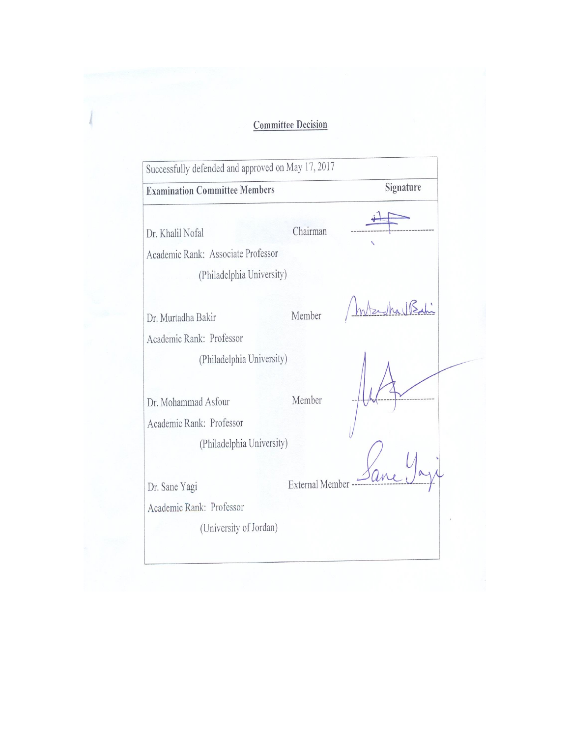## **Committee Decision**

 $\frac{1}{2}$ 

| <b>Examination Committee Members</b>                                                |                 | Signature |
|-------------------------------------------------------------------------------------|-----------------|-----------|
| Dr. Khalil Nofal<br>Academic Rank: Associate Professor<br>(Philadelphia University) | Chairman        |           |
| Dr. Murtadha Bakir                                                                  | Member          |           |
| Academic Rank: Professor                                                            |                 |           |
| (Philadelphia University)                                                           |                 |           |
| Dr. Mohammad Asfour                                                                 | Member          |           |
| Academic Rank: Professor                                                            |                 |           |
| (Philadelphia University)                                                           |                 |           |
| Dr. Sane Yagi                                                                       | External Member |           |
| Academic Rank: Professor                                                            |                 |           |
| (University of Jordan)                                                              |                 |           |
|                                                                                     |                 |           |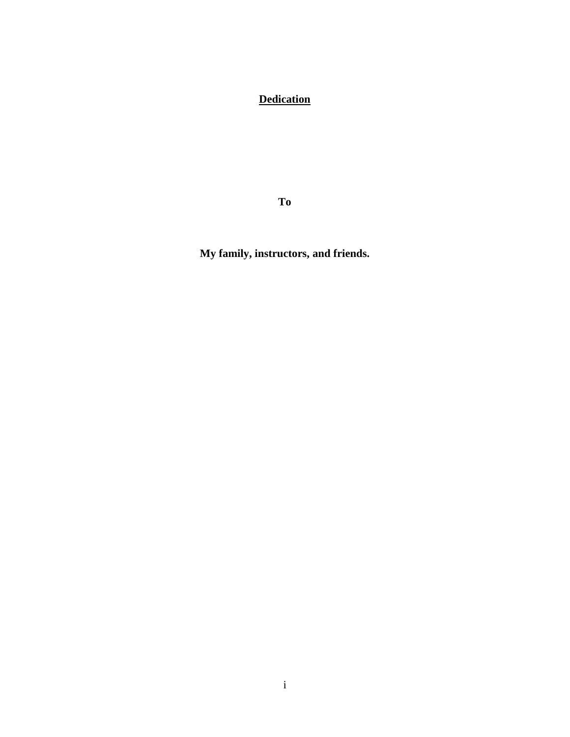### **Dedication**

**To**

**My family, instructors, and friends.**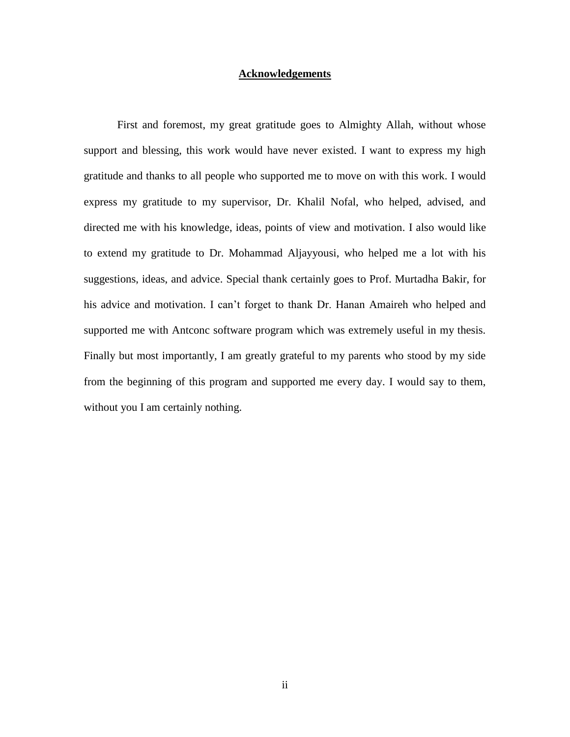#### **Acknowledgements**

First and foremost, my great gratitude goes to Almighty Allah, without whose support and blessing, this work would have never existed. I want to express my high gratitude and thanks to all people who supported me to move on with this work. I would express my gratitude to my supervisor, Dr. Khalil Nofal, who helped, advised, and directed me with his knowledge, ideas, points of view and motivation. I also would like to extend my gratitude to Dr. Mohammad Aljayyousi, who helped me a lot with his suggestions, ideas, and advice. Special thank certainly goes to Prof. Murtadha Bakir, for his advice and motivation. I can't forget to thank Dr. Hanan Amaireh who helped and supported me with Antconc software program which was extremely useful in my thesis. Finally but most importantly, I am greatly grateful to my parents who stood by my side from the beginning of this program and supported me every day. I would say to them, without you I am certainly nothing.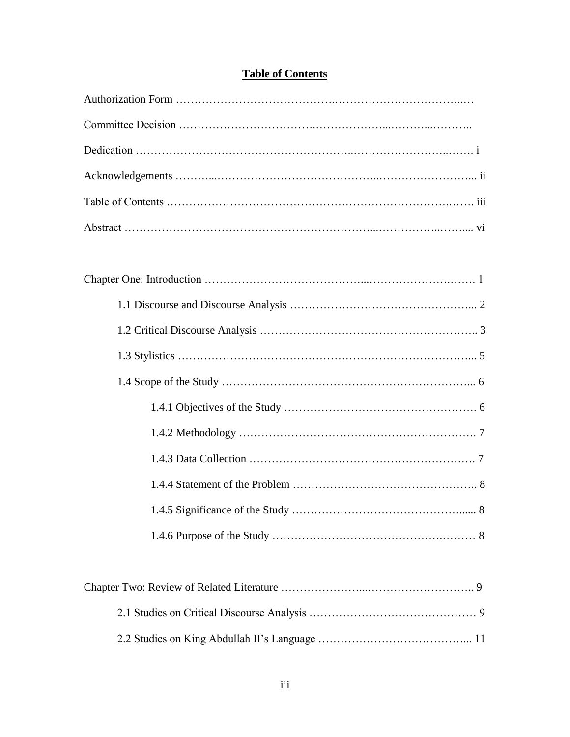| <b>Table of Contents</b> |
|--------------------------|
|--------------------------|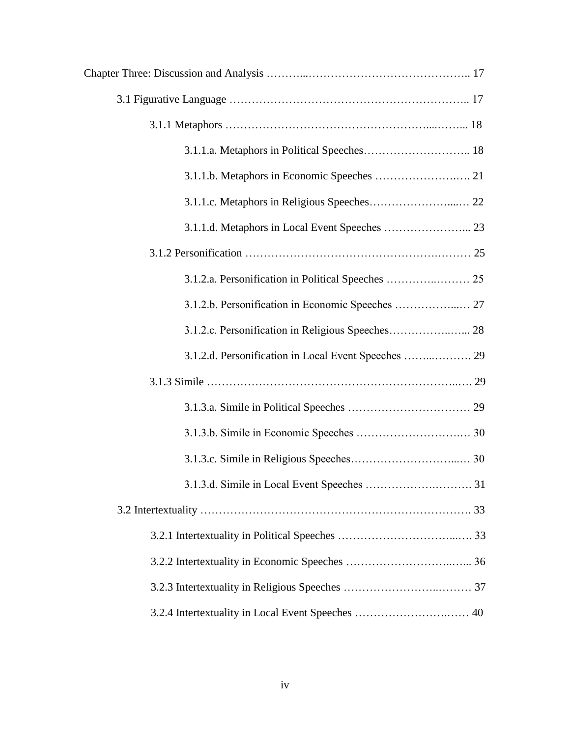| 3.1.2.d. Personification in Local Event Speeches  29 |  |
|------------------------------------------------------|--|
|                                                      |  |
|                                                      |  |
|                                                      |  |
|                                                      |  |
|                                                      |  |
|                                                      |  |
|                                                      |  |
|                                                      |  |
|                                                      |  |
| 3.2.4 Intertextuality in Local Event Speeches  40    |  |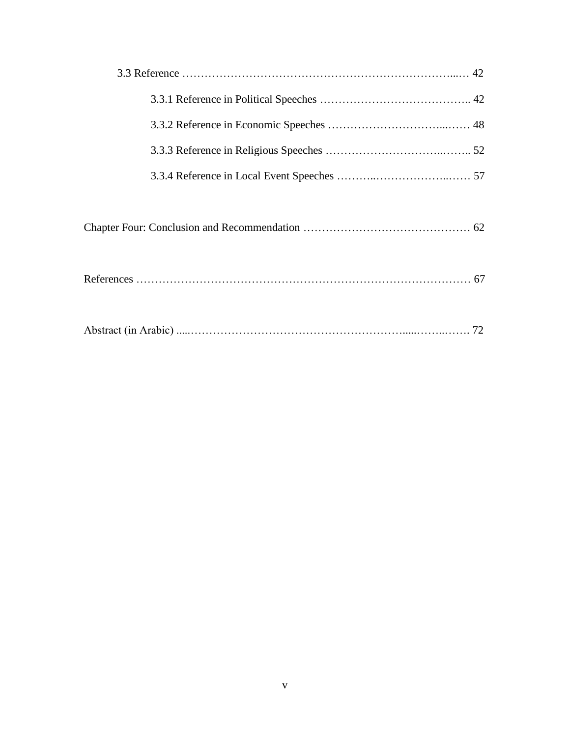|--|--|--|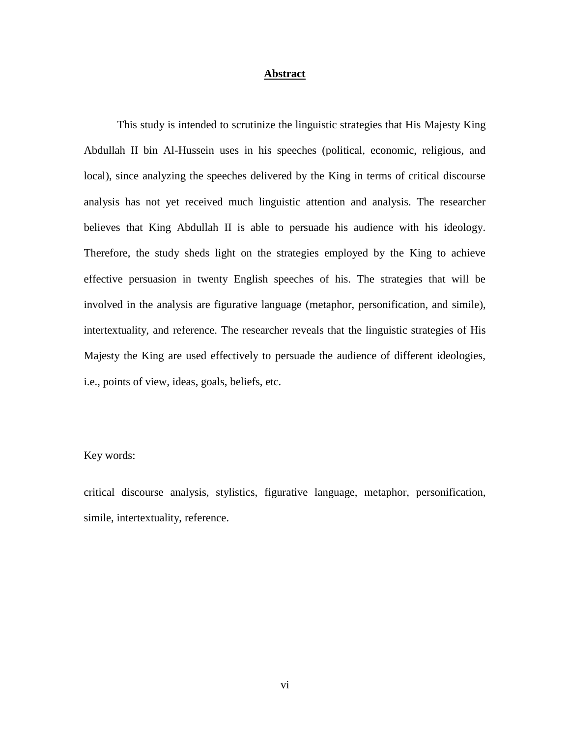#### **Abstract**

This study is intended to scrutinize the linguistic strategies that His Majesty King Abdullah II bin Al-Hussein uses in his speeches (political, economic, religious, and local), since analyzing the speeches delivered by the King in terms of critical discourse analysis has not yet received much linguistic attention and analysis. The researcher believes that King Abdullah II is able to persuade his audience with his ideology. Therefore, the study sheds light on the strategies employed by the King to achieve effective persuasion in twenty English speeches of his. The strategies that will be involved in the analysis are figurative language (metaphor, personification, and simile), intertextuality, and reference. The researcher reveals that the linguistic strategies of His Majesty the King are used effectively to persuade the audience of different ideologies, i.e., points of view, ideas, goals, beliefs, etc.

#### Key words:

critical discourse analysis, stylistics, figurative language, metaphor, personification, simile, intertextuality, reference.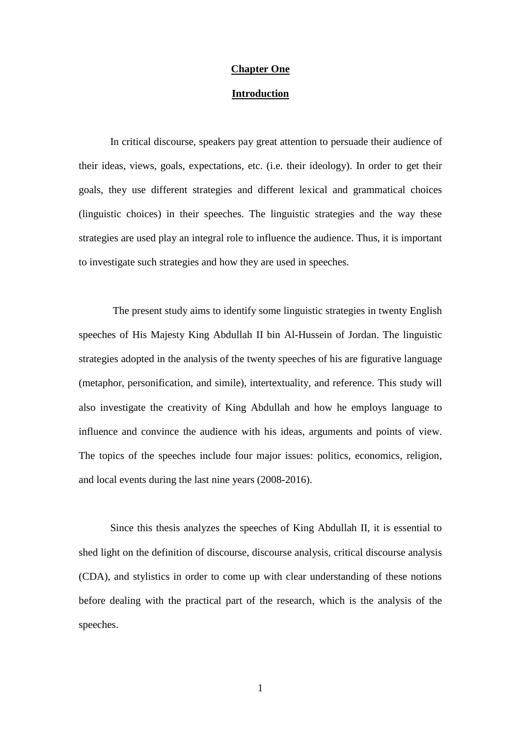#### **Chapter One**

#### **Introduction**

In critical discourse, speakers pay great attention to persuade their audience of their ideas, views, goals, expectations, etc. (i.e. their ideology). In order to get their goals, they use different strategies and different lexical and grammatical choices (linguistic choices) in their speeches. The linguistic strategies and the way these strategies are used play an integral role to influence the audience. Thus, it is important to investigate such strategies and how they are used in speeches.

The present study aims to identify some linguistic strategies in twenty English speeches of His Majesty King Abdullah II bin Al-Hussein of Jordan. The linguistic strategies adopted in the analysis of the twenty speeches of his are figurative language (metaphor, personification, and simile), intertextuality, and reference. This study will also investigate the creativity of King Abdullah and how he employs language to influence and convince the audience with his ideas, arguments and points of view. The topics of the speeches include four major issues: politics, economics, religion, and local events during the last nine years (2008-2016).

Since this thesis analyzes the speeches of King Abdullah II, it is essential to shed light on the definition of discourse, discourse analysis, critical discourse analysis (CDA), and stylistics in order to come up with clear understanding of these notions before dealing with the practical part of the research, which is the analysis of the speeches.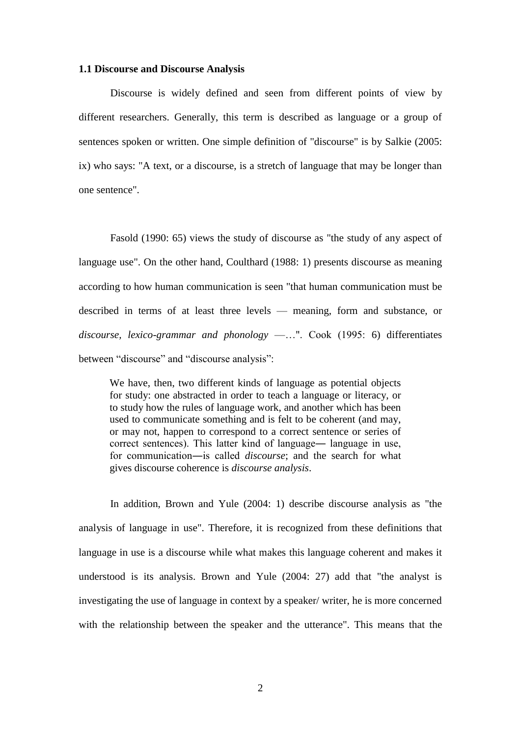#### **1.1 Discourse and Discourse Analysis**

Discourse is widely defined and seen from different points of view by different researchers. Generally, this term is described as language or a group of sentences spoken or written. One simple definition of "discourse" is by Salkie (2005: ix) who says: "A text, or a discourse, is a stretch of language that may be longer than one sentence".

Fasold (1990: 65) views the study of discourse as "the study of any aspect of language use". On the other hand, Coulthard (1988: 1) presents discourse as meaning according to how human communication is seen "that human communication must be described in terms of at least three levels — meaning, form and substance, or *discourse, lexico-grammar and phonology* —…". Cook (1995: 6) differentiates between "discourse" and "discourse analysis":

We have, then, two different kinds of language as potential objects for study: one abstracted in order to teach a language or literacy, or to study how the rules of language work, and another which has been used to communicate something and is felt to be coherent (and may, or may not, happen to correspond to a correct sentence or series of correct sentences). This latter kind of language― language in use, for communication―is called *discourse*; and the search for what gives discourse coherence is *discourse analysis*.

In addition, Brown and Yule (2004: 1) describe discourse analysis as "the analysis of language in use". Therefore, it is recognized from these definitions that language in use is a discourse while what makes this language coherent and makes it understood is its analysis. Brown and Yule (2004: 27) add that "the analyst is investigating the use of language in context by a speaker/ writer, he is more concerned with the relationship between the speaker and the utterance". This means that the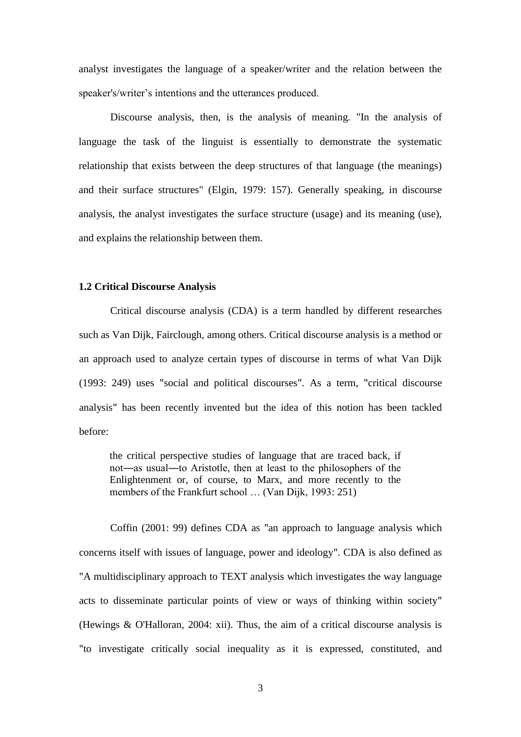analyst investigates the language of a speaker/writer and the relation between the speaker's/writer's intentions and the utterances produced.

Discourse analysis, then, is the analysis of meaning. "In the analysis of language the task of the linguist is essentially to demonstrate the systematic relationship that exists between the deep structures of that language (the meanings) and their surface structures" (Elgin, 1979: 157). Generally speaking, in discourse analysis, the analyst investigates the surface structure (usage) and its meaning (use), and explains the relationship between them.

#### **1.2 Critical Discourse Analysis**

Critical discourse analysis (CDA) is a term handled by different researches such as Van Dijk, Fairclough, among others. Critical discourse analysis is a method or an approach used to analyze certain types of discourse in terms of what Van Dijk (1993: 249) uses "social and political discourses". As a term, "critical discourse analysis" has been recently invented but the idea of this notion has been tackled before:

the critical perspective studies of language that are traced back, if not―as usual―to Aristotle, then at least to the philosophers of the Enlightenment or, of course, to Marx, and more recently to the members of the Frankfurt school … (Van Dijk, 1993: 251)

Coffin (2001: 99) defines CDA as "an approach to language analysis which concerns itself with issues of language, power and ideology". CDA is also defined as "A multidisciplinary approach to TEXT analysis which investigates the way language acts to disseminate particular points of view or ways of thinking within society" (Hewings & O'Halloran, 2004: xii). Thus, the aim of a critical discourse analysis is "to investigate critically social inequality as it is expressed, constituted, and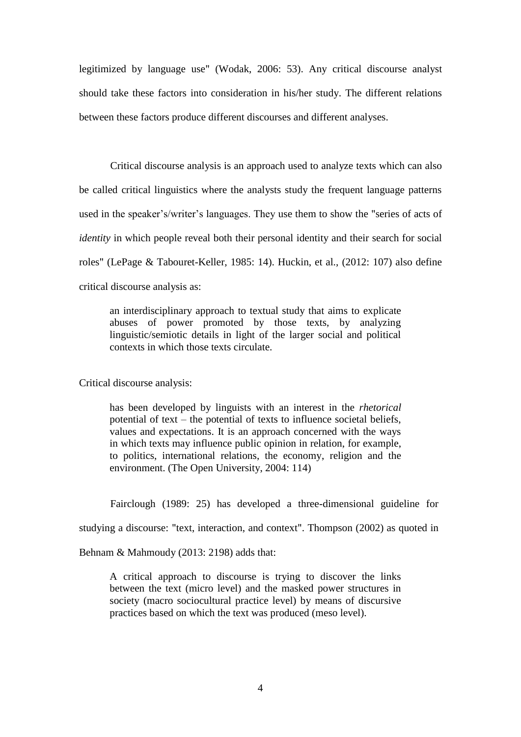legitimized by language use" (Wodak, 2006: 53). Any critical discourse analyst should take these factors into consideration in his/her study. The different relations between these factors produce different discourses and different analyses.

Critical discourse analysis is an approach used to analyze texts which can also be called critical linguistics where the analysts study the frequent language patterns used in the speaker's/writer's languages. They use them to show the "series of acts of *identity* in which people reveal both their personal identity and their search for social roles" (LePage & Tabouret-Keller, 1985: 14). Huckin, et al., (2012: 107) also define critical discourse analysis as:

an interdisciplinary approach to textual study that aims to explicate abuses of power promoted by those texts, by analyzing linguistic/semiotic details in light of the larger social and political contexts in which those texts circulate.

Critical discourse analysis:

has been developed by linguists with an interest in the *rhetorical* potential of text – the potential of texts to influence societal beliefs, values and expectations. It is an approach concerned with the ways in which texts may influence public opinion in relation, for example, to politics, international relations, the economy, religion and the environment. (The Open University, 2004: 114)

Fairclough (1989: 25) has developed a three-dimensional guideline for

studying a discourse: "text, interaction, and context". Thompson (2002) as quoted in

Behnam & Mahmoudy (2013: 2198) adds that:

A critical approach to discourse is trying to discover the links between the text (micro level) and the masked power structures in society (macro sociocultural practice level) by means of discursive practices based on which the text was produced (meso level).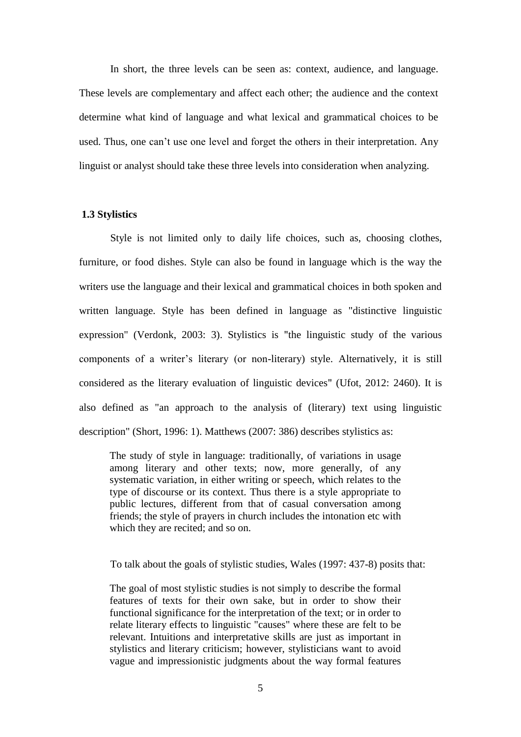In short, the three levels can be seen as: context, audience, and language. These levels are complementary and affect each other; the audience and the context determine what kind of language and what lexical and grammatical choices to be used. Thus, one can't use one level and forget the others in their interpretation. Any linguist or analyst should take these three levels into consideration when analyzing.

#### **1.3 Stylistics**

Style is not limited only to daily life choices, such as, choosing clothes, furniture, or food dishes. Style can also be found in language which is the way the writers use the language and their lexical and grammatical choices in both spoken and written language. Style has been defined in language as "distinctive linguistic expression" (Verdonk, 2003: 3). Stylistics is "the linguistic study of the various components of a writer's literary (or non-literary) style. Alternatively, it is still considered as the literary evaluation of linguistic devices" (Ufot, 2012: 2460). It is also defined as "an approach to the analysis of (literary) text using linguistic description" (Short, 1996: 1). Matthews (2007: 386) describes stylistics as:

The study of style in language: traditionally, of variations in usage among literary and other texts; now, more generally, of any systematic variation, in either writing or speech, which relates to the type of discourse or its context. Thus there is a style appropriate to public lectures, different from that of casual conversation among friends; the style of prayers in church includes the intonation etc with which they are recited; and so on.

To talk about the goals of stylistic studies, Wales (1997: 437-8) posits that:

The goal of most stylistic studies is not simply to describe the formal features of texts for their own sake, but in order to show their functional significance for the interpretation of the text; or in order to relate literary effects to linguistic "causes" where these are felt to be relevant. Intuitions and interpretative skills are just as important in stylistics and literary criticism; however, stylisticians want to avoid vague and impressionistic judgments about the way formal features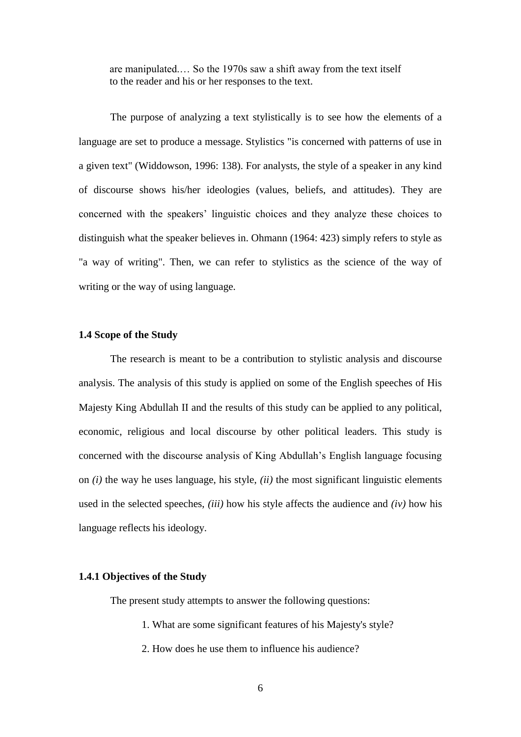are manipulated.… So the 1970s saw a shift away from the text itself to the reader and his or her responses to the text.

The purpose of analyzing a text stylistically is to see how the elements of a language are set to produce a message. Stylistics "is concerned with patterns of use in a given text" (Widdowson, 1996: 138). For analysts, the style of a speaker in any kind of discourse shows his/her ideologies (values, beliefs, and attitudes). They are concerned with the speakers' linguistic choices and they analyze these choices to distinguish what the speaker believes in. Ohmann (1964: 423) simply refers to style as "a way of writing". Then, we can refer to stylistics as the science of the way of writing or the way of using language.

#### **1.4 Scope of the Study**

The research is meant to be a contribution to stylistic analysis and discourse analysis. The analysis of this study is applied on some of the English speeches of His Majesty King Abdullah II and the results of this study can be applied to any political, economic, religious and local discourse by other political leaders. This study is concerned with the discourse analysis of King Abdullah's English language focusing on *(i)* the way he uses language, his style, *(ii)* the most significant linguistic elements used in the selected speeches, *(iii)* how his style affects the audience and *(iv)* how his language reflects his ideology.

#### **1.4.1 Objectives of the Study**

The present study attempts to answer the following questions:

- 1. What are some significant features of his Majesty's style?
- 2. How does he use them to influence his audience?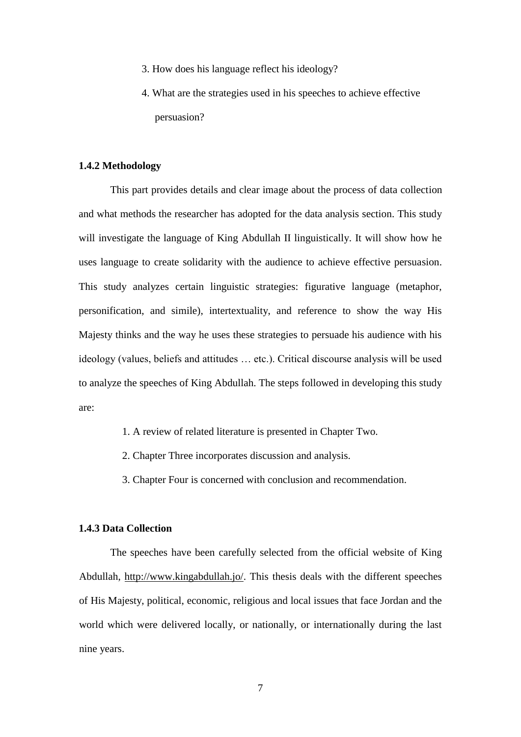- 3. How does his language reflect his ideology?
- 4. What are the strategies used in his speeches to achieve effective persuasion?

#### **1.4.2 Methodology**

This part provides details and clear image about the process of data collection and what methods the researcher has adopted for the data analysis section. This study will investigate the language of King Abdullah II linguistically. It will show how he uses language to create solidarity with the audience to achieve effective persuasion. This study analyzes certain linguistic strategies: figurative language (metaphor, personification, and simile), intertextuality, and reference to show the way His Majesty thinks and the way he uses these strategies to persuade his audience with his ideology (values, beliefs and attitudes … etc.). Critical discourse analysis will be used to analyze the speeches of King Abdullah. The steps followed in developing this study are:

- 1. A review of related literature is presented in Chapter Two.
- 2. Chapter Three incorporates discussion and analysis.
- 3. Chapter Four is concerned with conclusion and recommendation.

#### **1.4.3 Data Collection**

The speeches have been carefully selected from the official website of King Abdullah, [http://www.kingabdullah.jo/.](http://www.kingabdullah.jo/) This thesis deals with the different speeches of His Majesty, political, economic, religious and local issues that face Jordan and the world which were delivered locally, or nationally, or internationally during the last nine years.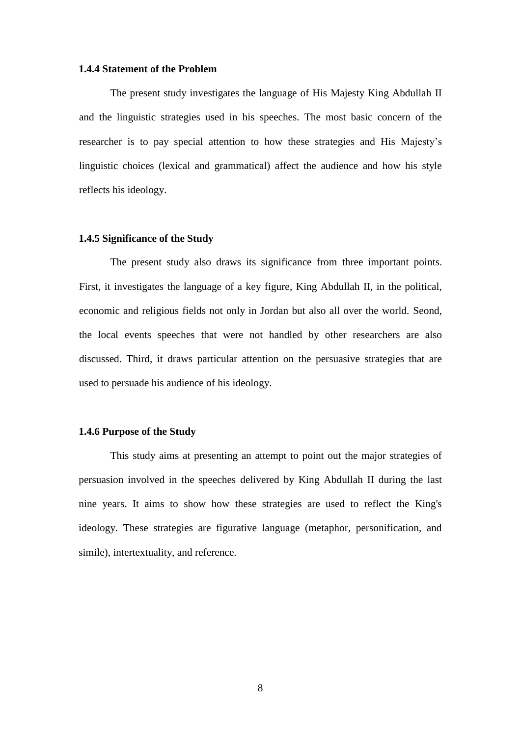#### **1.4.4 Statement of the Problem**

The present study investigates the language of His Majesty King Abdullah II and the linguistic strategies used in his speeches. The most basic concern of the researcher is to pay special attention to how these strategies and His Majesty's linguistic choices (lexical and grammatical) affect the audience and how his style reflects his ideology.

#### **1.4.5 Significance of the Study**

The present study also draws its significance from three important points. First, it investigates the language of a key figure, King Abdullah II, in the political, economic and religious fields not only in Jordan but also all over the world. Seond, the local events speeches that were not handled by other researchers are also discussed. Third, it draws particular attention on the persuasive strategies that are used to persuade his audience of his ideology.

#### **1.4.6 Purpose of the Study**

This study aims at presenting an attempt to point out the major strategies of persuasion involved in the speeches delivered by King Abdullah II during the last nine years. It aims to show how these strategies are used to reflect the King's ideology. These strategies are figurative language (metaphor, personification, and simile), intertextuality, and reference.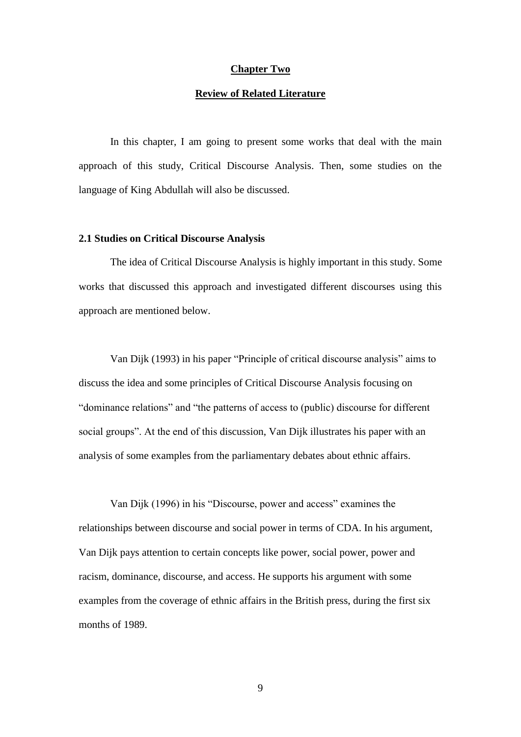#### **Chapter Two**

#### **Review of Related Literature**

In this chapter, I am going to present some works that deal with the main approach of this study, Critical Discourse Analysis. Then, some studies on the language of King Abdullah will also be discussed.

#### **2.1 Studies on Critical Discourse Analysis**

The idea of Critical Discourse Analysis is highly important in this study. Some works that discussed this approach and investigated different discourses using this approach are mentioned below.

Van Dijk (1993) in his paper "Principle of critical discourse analysis" aims to discuss the idea and some principles of Critical Discourse Analysis focusing on "dominance relations" and "the patterns of access to (public) discourse for different social groups". At the end of this discussion, Van Dijk illustrates his paper with an analysis of some examples from the parliamentary debates about ethnic affairs.

Van Dijk (1996) in his "Discourse, power and access" examines the relationships between discourse and social power in terms of CDA. In his argument, Van Dijk pays attention to certain concepts like power, social power, power and racism, dominance, discourse, and access. He supports his argument with some examples from the coverage of ethnic affairs in the British press, during the first six months of 1989.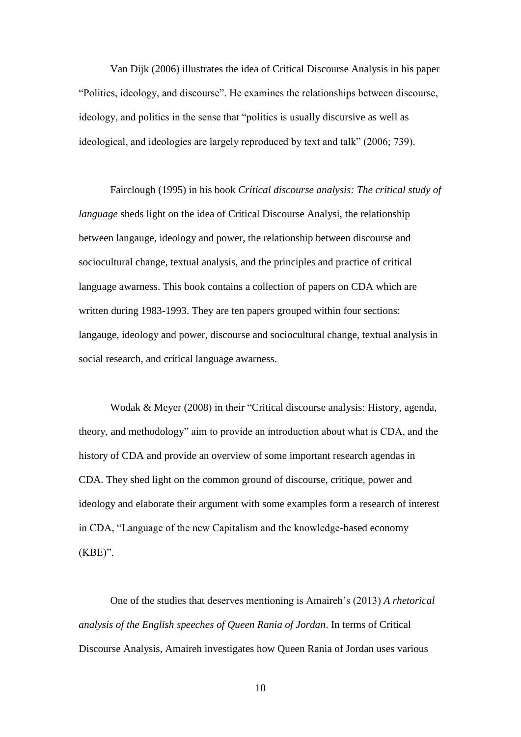Van Dijk (2006) illustrates the idea of Critical Discourse Analysis in his paper "Politics, ideology, and discourse". He examines the relationships between discourse, ideology, and politics in the sense that "politics is usually discursive as well as ideological, and ideologies are largely reproduced by text and talk" (2006; 739).

Fairclough (1995) in his book *Critical discourse analysis: The critical study of language* sheds light on the idea of Critical Discourse Analysi, the relationship between langauge, ideology and power, the relationship between discourse and sociocultural change, textual analysis, and the principles and practice of critical language awarness. This book contains a collection of papers on CDA which are written during 1983-1993. They are ten papers grouped within four sections: langauge, ideology and power, discourse and sociocultural change, textual analysis in social research, and critical language awarness.

Wodak & Meyer (2008) in their "Critical discourse analysis: History, agenda, theory, and methodology" aim to provide an introduction about what is CDA, and the history of CDA and provide an overview of some important research agendas in CDA. They shed light on the common ground of discourse, critique, power and ideology and elaborate their argument with some examples form a research of interest in CDA, "Language of the new Capitalism and the knowledge-based economy (KBE)".

One of the studies that deserves mentioning is Amaireh's (2013) *A rhetorical analysis of the English speeches of Queen Rania of Jordan*. In terms of Critical Discourse Analysis, Amaireh investigates how Queen Rania of Jordan uses various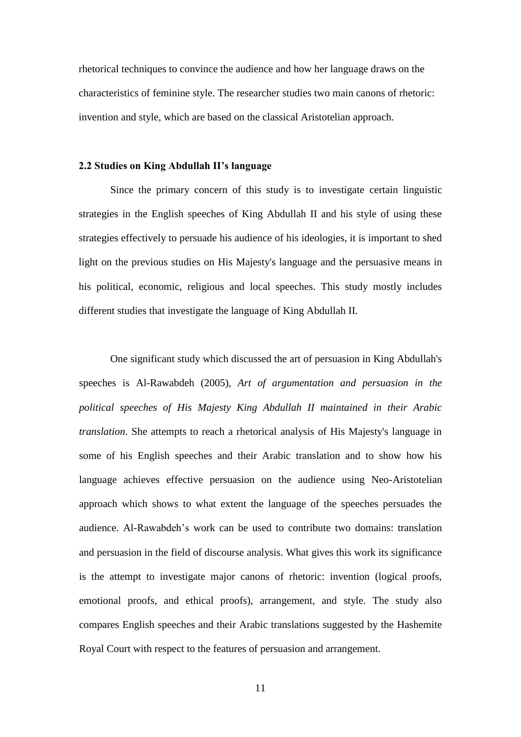rhetorical techniques to convince the audience and how her language draws on the characteristics of feminine style. The researcher studies two main canons of rhetoric: invention and style, which are based on the classical Aristotelian approach.

#### **2.2 Studies on King Abdullah II's language**

Since the primary concern of this study is to investigate certain linguistic strategies in the English speeches of King Abdullah II and his style of using these strategies effectively to persuade his audience of his ideologies, it is important to shed light on the previous studies on His Majesty's language and the persuasive means in his political, economic, religious and local speeches. This study mostly includes different studies that investigate the language of King Abdullah II.

One significant study which discussed the art of persuasion in King Abdullah's speeches is Al-Rawabdeh (2005), *Art of argumentation and persuasion in the political speeches of His Majesty King Abdullah II maintained in their Arabic translation*. She attempts to reach a rhetorical analysis of His Majesty's language in some of his English speeches and their Arabic translation and to show how his language achieves effective persuasion on the audience using Neo-Aristotelian approach which shows to what extent the language of the speeches persuades the audience. Al-Rawabdeh's work can be used to contribute two domains: translation and persuasion in the field of discourse analysis. What gives this work its significance is the attempt to investigate major canons of rhetoric: invention (logical proofs, emotional proofs, and ethical proofs), arrangement, and style. The study also compares English speeches and their Arabic translations suggested by the Hashemite Royal Court with respect to the features of persuasion and arrangement.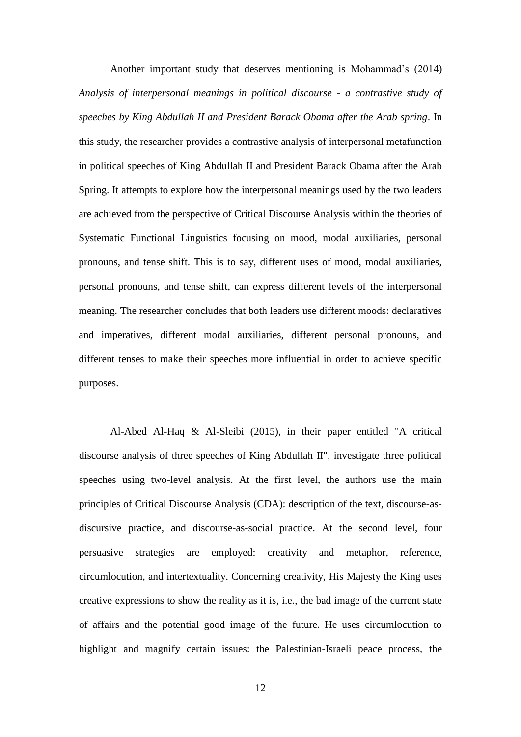Another important study that deserves mentioning is Mohammad's (2014) *Analysis of interpersonal meanings in political discourse - a contrastive study of speeches by King Abdullah II and President Barack Obama after the Arab spring*. In this study, the researcher provides a contrastive analysis of interpersonal metafunction in political speeches of King Abdullah II and President Barack Obama after the Arab Spring. It attempts to explore how the interpersonal meanings used by the two leaders are achieved from the perspective of Critical Discourse Analysis within the theories of Systematic Functional Linguistics focusing on mood, modal auxiliaries, personal pronouns, and tense shift. This is to say, different uses of mood, modal auxiliaries, personal pronouns, and tense shift, can express different levels of the interpersonal meaning. The researcher concludes that both leaders use different moods: declaratives and imperatives, different modal auxiliaries, different personal pronouns, and different tenses to make their speeches more influential in order to achieve specific purposes.

Al-Abed Al-Haq & Al-Sleibi (2015), in their paper entitled "A critical discourse analysis of three speeches of King Abdullah II", investigate three political speeches using two-level analysis. At the first level, the authors use the main principles of Critical Discourse Analysis (CDA): description of the text, discourse-asdiscursive practice, and discourse-as-social practice. At the second level, four persuasive strategies are employed: creativity and metaphor, reference, circumlocution, and intertextuality. Concerning creativity, His Majesty the King uses creative expressions to show the reality as it is, i.e., the bad image of the current state of affairs and the potential good image of the future. He uses circumlocution to highlight and magnify certain issues: the Palestinian-Israeli peace process, the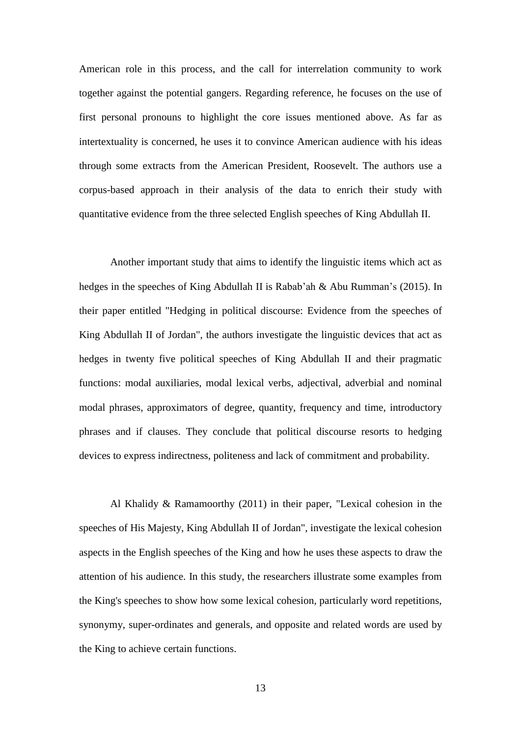American role in this process, and the call for interrelation community to work together against the potential gangers. Regarding reference, he focuses on the use of first personal pronouns to highlight the core issues mentioned above. As far as intertextuality is concerned, he uses it to convince American audience with his ideas through some extracts from the American President, Roosevelt. The authors use a corpus-based approach in their analysis of the data to enrich their study with quantitative evidence from the three selected English speeches of King Abdullah II.

Another important study that aims to identify the linguistic items which act as hedges in the speeches of King Abdullah II is [Rabab'ah](mailto:ghalebrababah@gmail.com) & [Abu Rumman'](mailto:ghalebrababah@gmail.com)s (2015). In their paper entitled "Hedging in political discourse: Evidence from the speeches of King Abdullah II of Jordan", the authors investigate the linguistic devices that act as hedges in twenty five political speeches of King Abdullah II and their pragmatic functions: modal auxiliaries, modal lexical verbs, adjectival, adverbial and nominal modal phrases, approximators of degree, quantity, frequency and time, introductory phrases and if clauses. They conclude that political discourse resorts to hedging devices to express indirectness, politeness and lack of commitment and probability.

Al Khalidy & Ramamoorthy (2011) in their paper, "Lexical cohesion in the speeches of His Majesty, King Abdullah II of Jordan", investigate the lexical cohesion aspects in the English speeches of the King and how he uses these aspects to draw the attention of his audience. In this study, the researchers illustrate some examples from the King's speeches to show how some lexical cohesion, particularly word repetitions, synonymy, super-ordinates and generals, and opposite and related words are used by the King to achieve certain functions.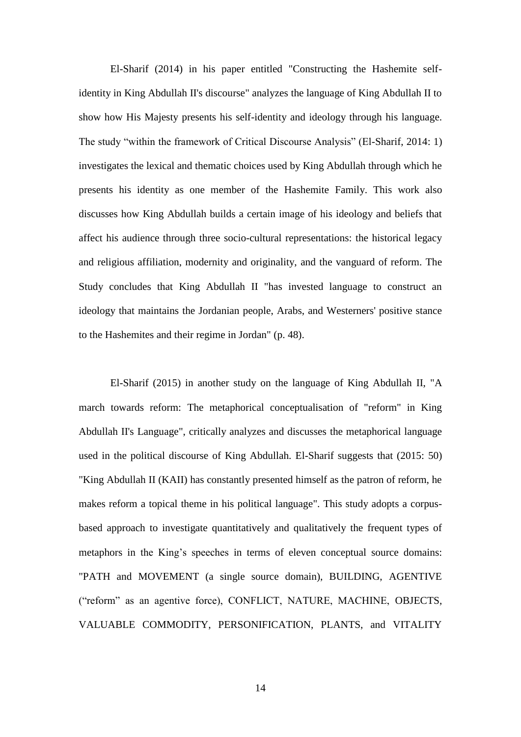El-Sharif (2014) in his paper entitled "Constructing the Hashemite selfidentity in King Abdullah II's discourse" analyzes the language of King Abdullah II to show how His Majesty presents his self-identity and ideology through his language. The study "within the framework of Critical Discourse Analysis" (El-Sharif, 2014: 1) investigates the lexical and thematic choices used by King Abdullah through which he presents his identity as one member of the Hashemite Family. This work also discusses how King Abdullah builds a certain image of his ideology and beliefs that affect his audience through three socio-cultural representations: the historical legacy and religious affiliation, modernity and originality, and the vanguard of reform. The Study concludes that King Abdullah II "has invested language to construct an ideology that maintains the Jordanian people, Arabs, and Westerners' positive stance to the Hashemites and their regime in Jordan" (p. 48).

El-Sharif (2015) in another study on the language of King Abdullah II, "A march towards reform: The metaphorical conceptualisation of "reform" in King Abdullah II's Language", critically analyzes and discusses the metaphorical language used in the political discourse of King Abdullah. El-Sharif suggests that (2015: 50) "King Abdullah II (KAII) has constantly presented himself as the patron of reform, he makes reform a topical theme in his political language". This study adopts a corpusbased approach to investigate quantitatively and qualitatively the frequent types of metaphors in the King's speeches in terms of eleven conceptual source domains: "PATH and MOVEMENT (a single source domain), BUILDING, AGENTIVE ("reform" as an agentive force), CONFLICT, NATURE, MACHINE, OBJECTS, VALUABLE COMMODITY, PERSONIFICATION, PLANTS, and VITALITY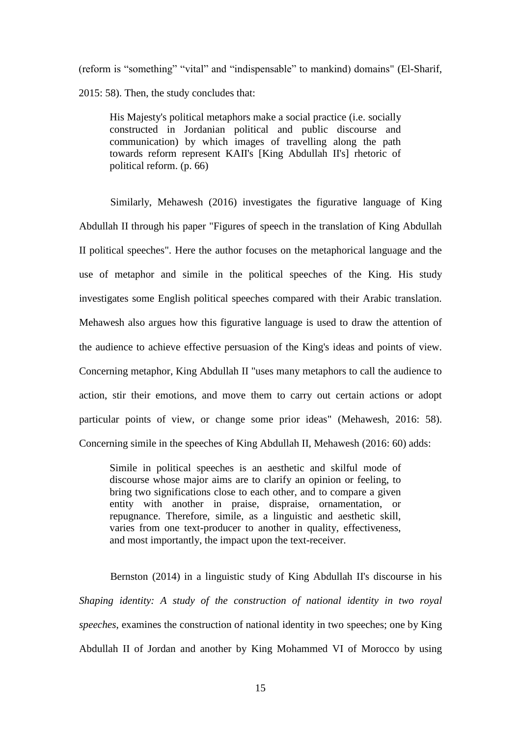(reform is "something" "vital" and "indispensable" to mankind) domains" (El-Sharif, 2015: 58). Then, the study concludes that:

His Majesty's political metaphors make a social practice (i.e. socially constructed in Jordanian political and public discourse and communication) by which images of travelling along the path towards reform represent KAII's [King Abdullah II's] rhetoric of political reform. (p. 66)

Similarly, Mehawesh (2016) investigates the figurative language of King Abdullah II through his paper "Figures of speech in the translation of King Abdullah II political speeches". Here the author focuses on the metaphorical language and the use of metaphor and simile in the political speeches of the King. His study investigates some English political speeches compared with their Arabic translation. Mehawesh also argues how this figurative language is used to draw the attention of the audience to achieve effective persuasion of the King's ideas and points of view. Concerning metaphor, King Abdullah II "uses many metaphors to call the audience to action, stir their emotions, and move them to carry out certain actions or adopt particular points of view, or change some prior ideas" (Mehawesh, 2016: 58). Concerning simile in the speeches of King Abdullah II, Mehawesh (2016: 60) adds:

Simile in political speeches is an aesthetic and skilful mode of discourse whose major aims are to clarify an opinion or feeling, to bring two significations close to each other, and to compare a given entity with another in praise, dispraise, ornamentation, or repugnance. Therefore, simile, as a linguistic and aesthetic skill, varies from one text-producer to another in quality, effectiveness, and most importantly, the impact upon the text-receiver.

Bernston (2014) in a linguistic study of King Abdullah II's discourse in his *Shaping identity: A study of the construction of national identity in two royal speeches*, examines the construction of national identity in two speeches; one by King Abdullah II of Jordan and another by King Mohammed VI of Morocco by using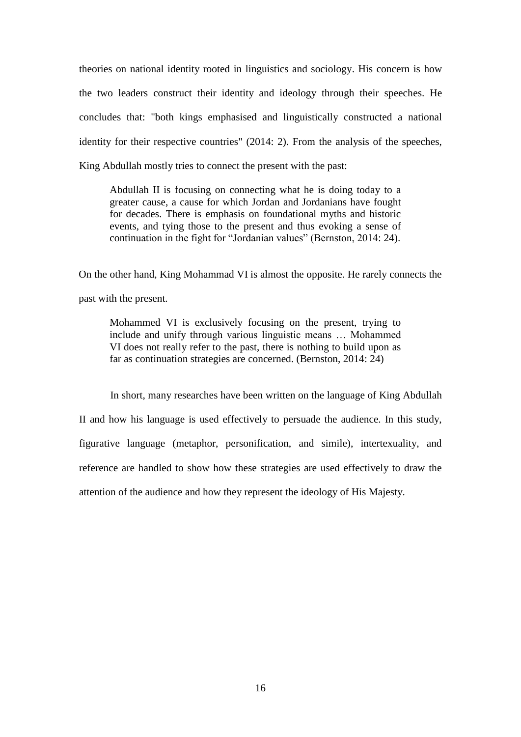theories on national identity rooted in linguistics and sociology. His concern is how the two leaders construct their identity and ideology through their speeches. He concludes that: "both kings emphasised and linguistically constructed a national identity for their respective countries" (2014: 2). From the analysis of the speeches, King Abdullah mostly tries to connect the present with the past:

Abdullah II is focusing on connecting what he is doing today to a greater cause, a cause for which Jordan and Jordanians have fought for decades. There is emphasis on foundational myths and historic events, and tying those to the present and thus evoking a sense of continuation in the fight for "Jordanian values" (Bernston, 2014: 24).

On the other hand, King Mohammad VI is almost the opposite. He rarely connects the past with the present.

Mohammed VI is exclusively focusing on the present, trying to include and unify through various linguistic means … Mohammed VI does not really refer to the past, there is nothing to build upon as far as continuation strategies are concerned. (Bernston, 2014: 24)

In short, many researches have been written on the language of King Abdullah II and how his language is used effectively to persuade the audience. In this study, figurative language (metaphor, personification, and simile), intertexuality, and reference are handled to show how these strategies are used effectively to draw the attention of the audience and how they represent the ideology of His Majesty.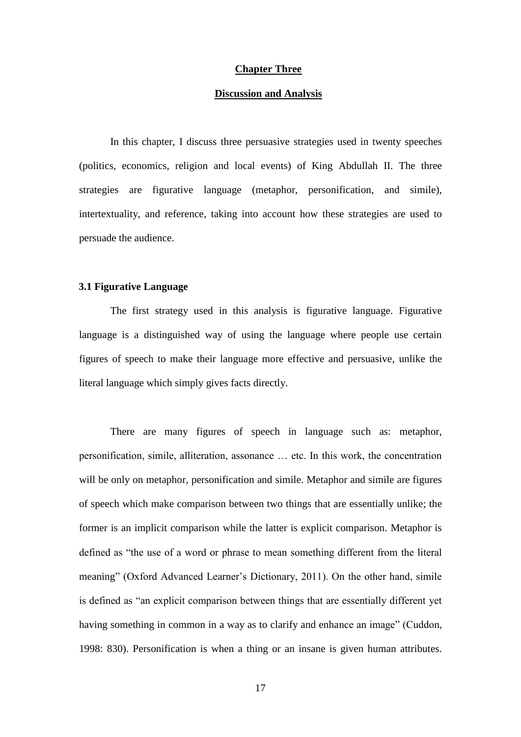#### **Chapter Three**

#### **Discussion and Analysis**

In this chapter, I discuss three persuasive strategies used in twenty speeches (politics, economics, religion and local events) of King Abdullah II. The three strategies are figurative language (metaphor, personification, and simile), intertextuality, and reference, taking into account how these strategies are used to persuade the audience.

#### **3.1 Figurative Language**

The first strategy used in this analysis is figurative language. Figurative language is a distinguished way of using the language where people use certain figures of speech to make their language more effective and persuasive, unlike the literal language which simply gives facts directly.

There are many figures of speech in language such as: metaphor, personification, simile, alliteration, assonance … etc. In this work, the concentration will be only on metaphor, personification and simile. Metaphor and simile are figures of speech which make comparison between two things that are essentially unlike; the former is an implicit comparison while the latter is explicit comparison. Metaphor is defined as "the use of a word or phrase to mean something different from the literal meaning" (Oxford Advanced Learner's Dictionary, 2011). On the other hand, simile is defined as "an explicit comparison between things that are essentially different yet having something in common in a way as to clarify and enhance an image" (Cuddon, 1998: 830). Personification is when a thing or an insane is given human attributes.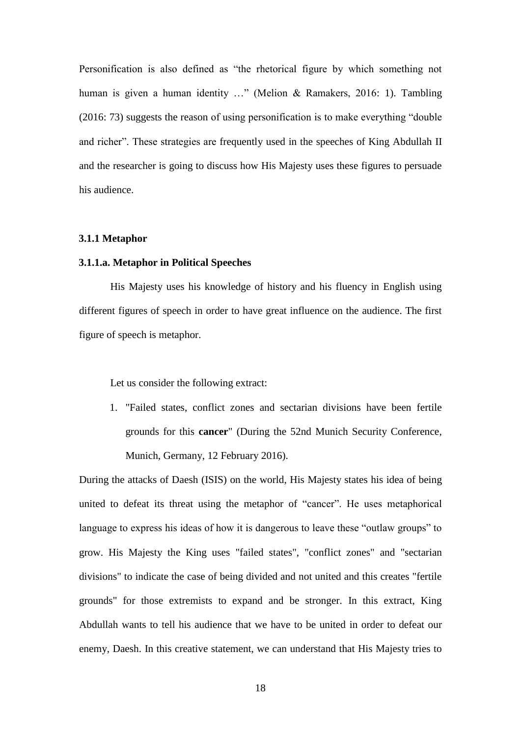Personification is also defined as "the rhetorical figure by which something not human is given a human identity ..." (Melion & Ramakers, 2016: 1). Tambling (2016: 73) suggests the reason of using personification is to make everything "double and richer". These strategies are frequently used in the speeches of King Abdullah II and the researcher is going to discuss how His Majesty uses these figures to persuade his audience.

#### **3.1.1 Metaphor**

#### **3.1.1.a. Metaphor in Political Speeches**

His Majesty uses his knowledge of history and his fluency in English using different figures of speech in order to have great influence on the audience. The first figure of speech is metaphor.

Let us consider the following extract:

1. "Failed states, conflict zones and sectarian divisions have been fertile grounds for this **cancer**" (During the 52nd Munich Security Conference, Munich, Germany, 12 February 2016).

During the attacks of Daesh (ISIS) on the world, His Majesty states his idea of being united to defeat its threat using the metaphor of "cancer". He uses metaphorical language to express his ideas of how it is dangerous to leave these "outlaw groups" to grow. His Majesty the King uses "failed states", "conflict zones" and "sectarian divisions" to indicate the case of being divided and not united and this creates "fertile grounds" for those extremists to expand and be stronger. In this extract, King Abdullah wants to tell his audience that we have to be united in order to defeat our enemy, Daesh. In this creative statement, we can understand that His Majesty tries to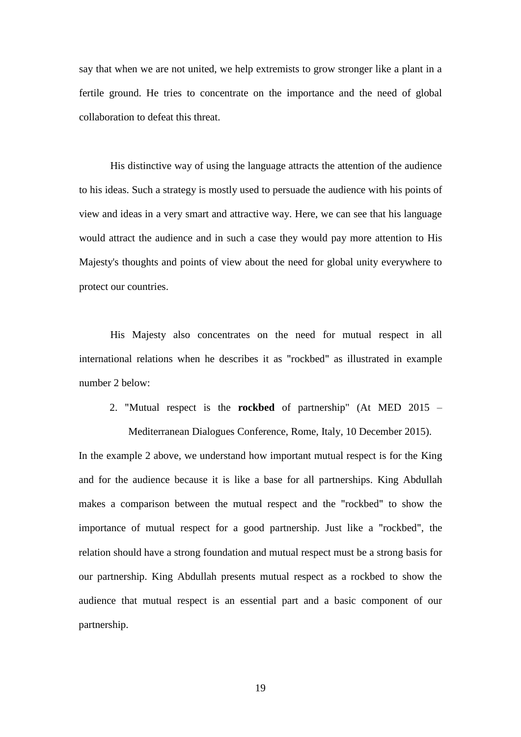say that when we are not united, we help extremists to grow stronger like a plant in a fertile ground. He tries to concentrate on the importance and the need of global collaboration to defeat this threat.

His distinctive way of using the language attracts the attention of the audience to his ideas. Such a strategy is mostly used to persuade the audience with his points of view and ideas in a very smart and attractive way. Here, we can see that his language would attract the audience and in such a case they would pay more attention to His Majesty's thoughts and points of view about the need for global unity everywhere to protect our countries.

His Majesty also concentrates on the need for mutual respect in all international relations when he describes it as "rockbed" as illustrated in example number 2 below:

2. "Mutual respect is the **rockbed** of partnership" (At MED 2015 –

Mediterranean Dialogues Conference, Rome, Italy, 10 December 2015).

In the example 2 above, we understand how important mutual respect is for the King and for the audience because it is like a base for all partnerships. King Abdullah makes a comparison between the mutual respect and the "rockbed" to show the importance of mutual respect for a good partnership. Just like a "rockbed", the relation should have a strong foundation and mutual respect must be a strong basis for our partnership. King Abdullah presents mutual respect as a rockbed to show the audience that mutual respect is an essential part and a basic component of our partnership.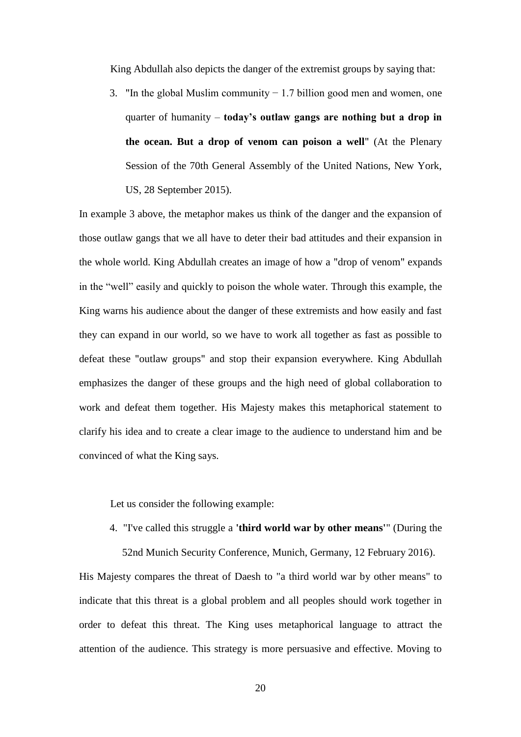King Abdullah also depicts the danger of the extremist groups by saying that:

3. "In the global Muslim community − 1.7 billion good men and women, one quarter of humanity – **today's outlaw gangs are nothing but a drop in the ocean. But a drop of venom can poison a well**" (At the Plenary Session of the 70th General Assembly of the United Nations, New York, US, 28 September 2015).

In example 3 above, the metaphor makes us think of the danger and the expansion of those outlaw gangs that we all have to deter their bad attitudes and their expansion in the whole world. King Abdullah creates an image of how a "drop of venom" expands in the "well" easily and quickly to poison the whole water. Through this example, the King warns his audience about the danger of these extremists and how easily and fast they can expand in our world, so we have to work all together as fast as possible to defeat these "outlaw groups" and stop their expansion everywhere. King Abdullah emphasizes the danger of these groups and the high need of global collaboration to work and defeat them together. His Majesty makes this metaphorical statement to clarify his idea and to create a clear image to the audience to understand him and be convinced of what the King says.

Let us consider the following example:

4. "I've called this struggle a **'third world war by other means'**" (During the

52nd Munich Security Conference, Munich, Germany, 12 February 2016).

His Majesty compares the threat of Daesh to "a third world war by other means" to indicate that this threat is a global problem and all peoples should work together in order to defeat this threat. The King uses metaphorical language to attract the attention of the audience. This strategy is more persuasive and effective. Moving to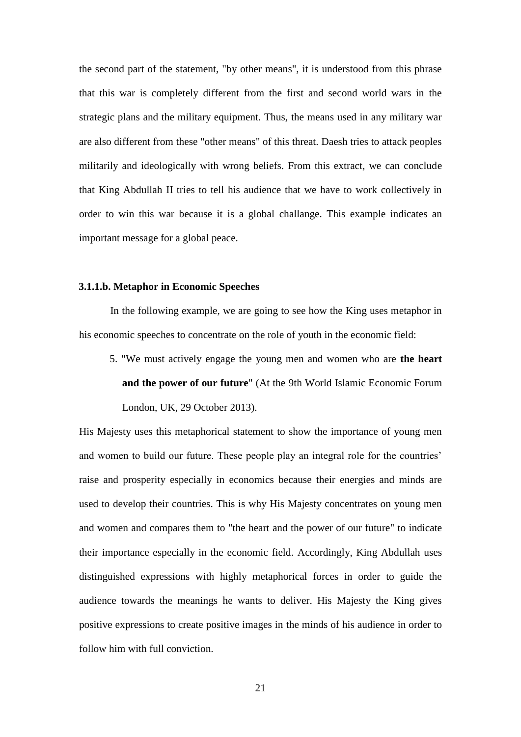the second part of the statement, "by other means", it is understood from this phrase that this war is completely different from the first and second world wars in the strategic plans and the military equipment. Thus, the means used in any military war are also different from these "other means" of this threat. Daesh tries to attack peoples militarily and ideologically with wrong beliefs. From this extract, we can conclude that King Abdullah II tries to tell his audience that we have to work collectively in order to win this war because it is a global challange. This example indicates an important message for a global peace.

#### **3.1.1.b. Metaphor in Economic Speeches**

In the following example, we are going to see how the King uses metaphor in his economic speeches to concentrate on the role of youth in the economic field:

5. "We must actively engage the young men and women who are **the heart and the power of our future**" (At the 9th World Islamic Economic Forum London, UK, 29 October 2013).

His Majesty uses this metaphorical statement to show the importance of young men and women to build our future. These people play an integral role for the countries' raise and prosperity especially in economics because their energies and minds are used to develop their countries. This is why His Majesty concentrates on young men and women and compares them to "the heart and the power of our future" to indicate their importance especially in the economic field. Accordingly, King Abdullah uses distinguished expressions with highly metaphorical forces in order to guide the audience towards the meanings he wants to deliver. His Majesty the King gives positive expressions to create positive images in the minds of his audience in order to follow him with full conviction.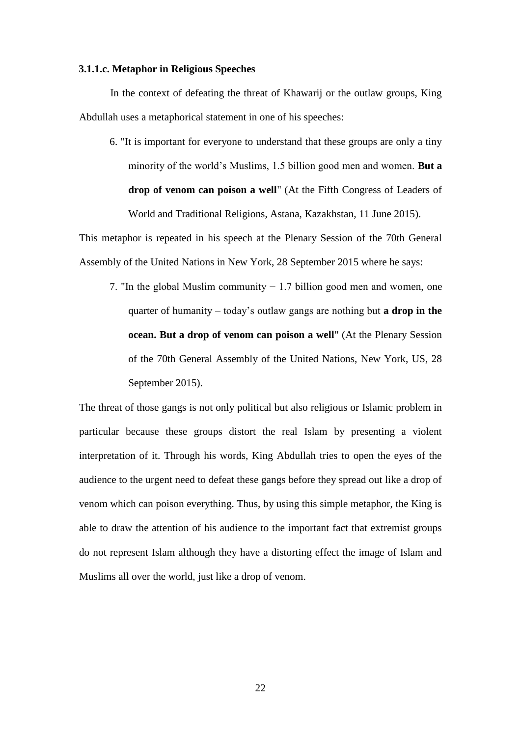#### **3.1.1.c. Metaphor in Religious Speeches**

In the context of defeating the threat of Khawarij or the outlaw groups, King Abdullah uses a metaphorical statement in one of his speeches:

6. "It is important for everyone to understand that these groups are only a tiny minority of the world's Muslims, 1.5 billion good men and women. **But a drop of venom can poison a well**" (At the Fifth Congress of Leaders of World and Traditional Religions, Astana, Kazakhstan, 11 June 2015).

This metaphor is repeated in his speech at the Plenary Session of the 70th General Assembly of the United Nations in New York, 28 September 2015 where he says:

7. "In the global Muslim community − 1.7 billion good men and women, one quarter of humanity – today's outlaw gangs are nothing but **a drop in the ocean. But a drop of venom can poison a well**" (At the Plenary Session of the 70th General Assembly of the United Nations, New York, US, 28 September 2015).

The threat of those gangs is not only political but also religious or Islamic problem in particular because these groups distort the real Islam by presenting a violent interpretation of it. Through his words, King Abdullah tries to open the eyes of the audience to the urgent need to defeat these gangs before they spread out like a drop of venom which can poison everything. Thus, by using this simple metaphor, the King is able to draw the attention of his audience to the important fact that extremist groups do not represent Islam although they have a distorting effect the image of Islam and Muslims all over the world, just like a drop of venom.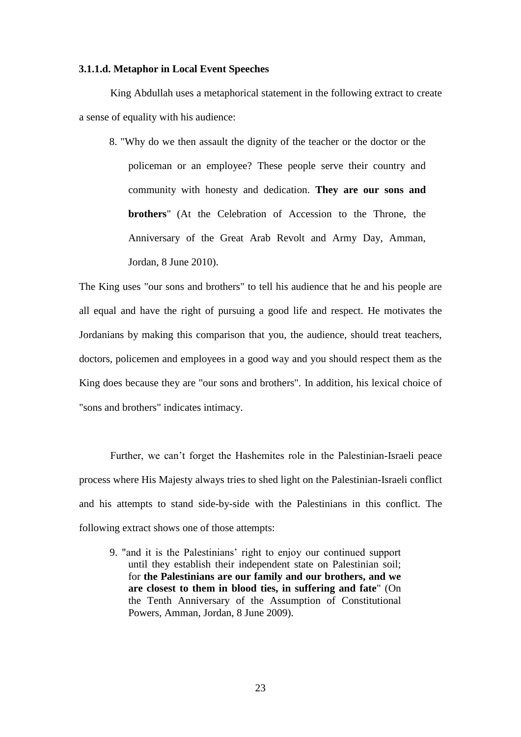#### **3.1.1.d. Metaphor in Local Event Speeches**

King Abdullah uses a metaphorical statement in the following extract to create a sense of equality with his audience:

8. "Why do we then assault the dignity of the teacher or the doctor or the policeman or an employee? These people serve their country and community with honesty and dedication. **They are our sons and brothers**" (At the Celebration of Accession to the Throne, the Anniversary of the Great Arab Revolt and Army Day, Amman, Jordan, 8 June 2010).

The King uses "our sons and brothers" to tell his audience that he and his people are all equal and have the right of pursuing a good life and respect. He motivates the Jordanians by making this comparison that you, the audience, should treat teachers, doctors, policemen and employees in a good way and you should respect them as the King does because they are "our sons and brothers". In addition, his lexical choice of "sons and brothers" indicates intimacy.

Further, we can't forget the Hashemites role in the Palestinian-Israeli peace process where His Majesty always tries to shed light on the Palestinian-Israeli conflict and his attempts to stand side-by-side with the Palestinians in this conflict. The following extract shows one of those attempts:

9. "and it is the Palestinians' right to enjoy our continued support until they establish their independent state on Palestinian soil; for **the Palestinians are our family and our brothers, and we are closest to them in blood ties, in suffering and fate**" (On the Tenth Anniversary of the Assumption of Constitutional Powers, Amman, Jordan, 8 June 2009).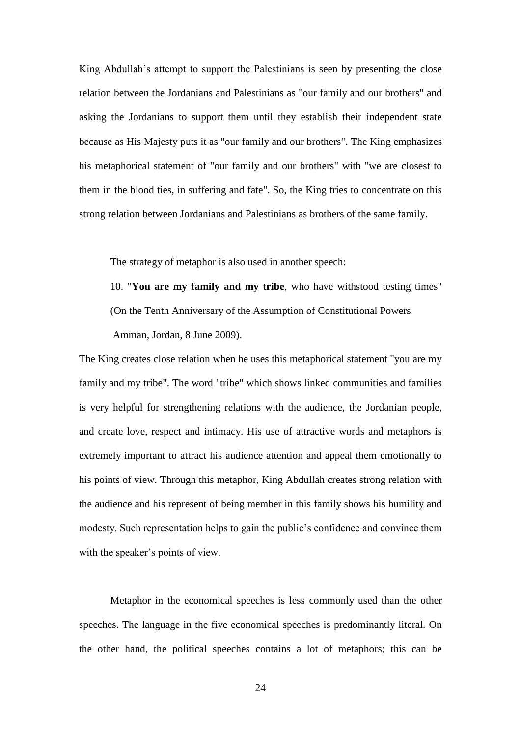King Abdullah's attempt to support the Palestinians is seen by presenting the close relation between the Jordanians and Palestinians as "our family and our brothers" and asking the Jordanians to support them until they establish their independent state because as His Majesty puts it as "our family and our brothers". The King emphasizes his metaphorical statement of "our family and our brothers" with "we are closest to them in the blood ties, in suffering and fate". So, the King tries to concentrate on this strong relation between Jordanians and Palestinians as brothers of the same family.

The strategy of metaphor is also used in another speech:

10. "**You are my family and my tribe**, who have withstood testing times" (On the Tenth Anniversary of the Assumption of Constitutional Powers Amman, Jordan, 8 June 2009).

The King creates close relation when he uses this metaphorical statement "you are my family and my tribe". The word "tribe" which shows linked communities and families is very helpful for strengthening relations with the audience, the Jordanian people, and create love, respect and intimacy. His use of attractive words and metaphors is extremely important to attract his audience attention and appeal them emotionally to his points of view. Through this metaphor, King Abdullah creates strong relation with the audience and his represent of being member in this family shows his humility and modesty. Such representation helps to gain the public's confidence and convince them with the speaker's points of view.

Metaphor in the economical speeches is less commonly used than the other speeches. The language in the five economical speeches is predominantly literal. On the other hand, the political speeches contains a lot of metaphors; this can be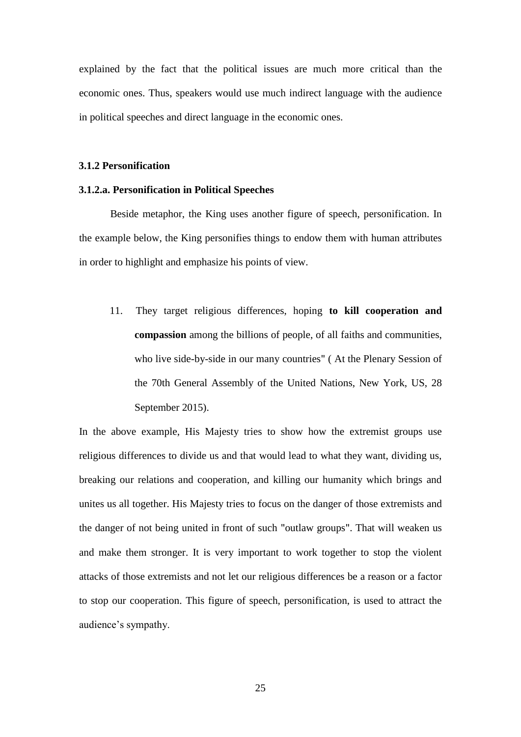explained by the fact that the political issues are much more critical than the economic ones. Thus, speakers would use much indirect language with the audience in political speeches and direct language in the economic ones.

#### **3.1.2 Personification**

#### **3.1.2.a. Personification in Political Speeches**

Beside metaphor, the King uses another figure of speech, personification. In the example below, the King personifies things to endow them with human attributes in order to highlight and emphasize his points of view.

11. They target religious differences, hoping **to kill cooperation and compassion** among the billions of people, of all faiths and communities, who live side-by-side in our many countries" ( At the Plenary Session of the 70th General Assembly of the United Nations, New York, US, 28 September 2015).

In the above example, His Majesty tries to show how the extremist groups use religious differences to divide us and that would lead to what they want, dividing us, breaking our relations and cooperation, and killing our humanity which brings and unites us all together. His Majesty tries to focus on the danger of those extremists and the danger of not being united in front of such "outlaw groups". That will weaken us and make them stronger. It is very important to work together to stop the violent attacks of those extremists and not let our religious differences be a reason or a factor to stop our cooperation. This figure of speech, personification, is used to attract the audience's sympathy.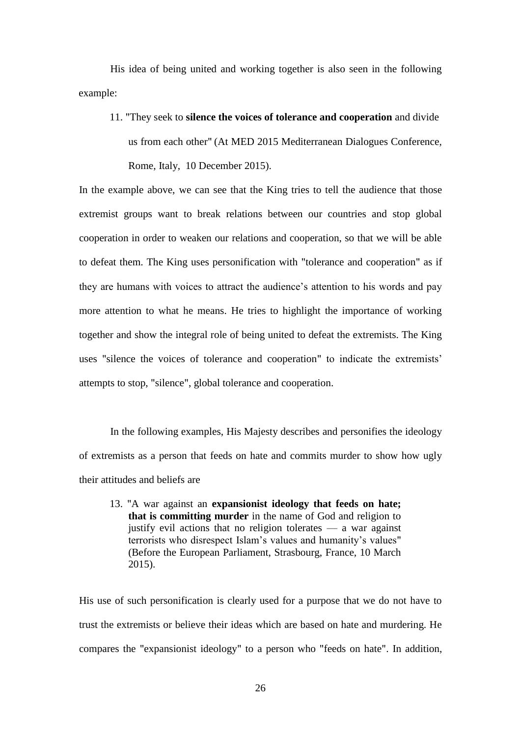His idea of being united and working together is also seen in the following example:

11. "They seek to **silence the voices of tolerance and cooperation** and divide us from each other" (At MED 2015 Mediterranean Dialogues Conference, Rome, Italy, 10 December 2015).

In the example above, we can see that the King tries to tell the audience that those extremist groups want to break relations between our countries and stop global cooperation in order to weaken our relations and cooperation, so that we will be able to defeat them. The King uses personification with "tolerance and cooperation" as if they are humans with voices to attract the audience's attention to his words and pay more attention to what he means. He tries to highlight the importance of working together and show the integral role of being united to defeat the extremists. The King uses "silence the voices of tolerance and cooperation" to indicate the extremists' attempts to stop, "silence", global tolerance and cooperation.

In the following examples, His Majesty describes and personifies the ideology of extremists as a person that feeds on hate and commits murder to show how ugly their attitudes and beliefs are

13. "A war against an **expansionist ideology that feeds on hate; that is committing murder** in the name of God and religion to justify evil actions that no religion tolerates  $-$  a war against terrorists who disrespect Islam's values and humanity's values" (Before the European Parliament, Strasbourg, France, 10 March 2015).

His use of such personification is clearly used for a purpose that we do not have to trust the extremists or believe their ideas which are based on hate and murdering. He compares the "expansionist ideology" to a person who "feeds on hate". In addition,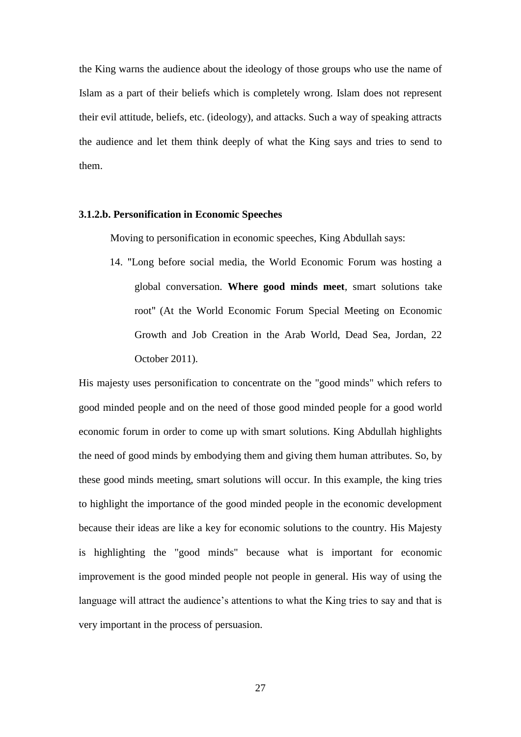the King warns the audience about the ideology of those groups who use the name of Islam as a part of their beliefs which is completely wrong. Islam does not represent their evil attitude, beliefs, etc. (ideology), and attacks. Such a way of speaking attracts the audience and let them think deeply of what the King says and tries to send to them.

#### **3.1.2.b. Personification in Economic Speeches**

Moving to personification in economic speeches, King Abdullah says:

14. "Long before social media, the World Economic Forum was hosting a global conversation. **Where good minds meet**, smart solutions take root" (At the World Economic Forum Special Meeting on Economic Growth and Job Creation in the Arab World, Dead Sea, Jordan, 22 October 2011).

His majesty uses personification to concentrate on the "good minds" which refers to good minded people and on the need of those good minded people for a good world economic forum in order to come up with smart solutions. King Abdullah highlights the need of good minds by embodying them and giving them human attributes. So, by these good minds meeting, smart solutions will occur. In this example, the king tries to highlight the importance of the good minded people in the economic development because their ideas are like a key for economic solutions to the country. His Majesty is highlighting the "good minds" because what is important for economic improvement is the good minded people not people in general. His way of using the language will attract the audience's attentions to what the King tries to say and that is very important in the process of persuasion.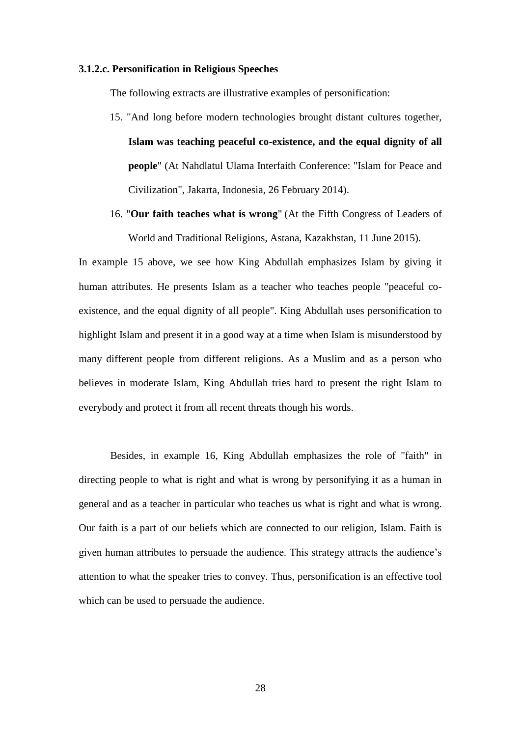#### **3.1.2.c. Personification in Religious Speeches**

The following extracts are illustrative examples of personification:

- 15. "And long before modern technologies brought distant cultures together, **Islam was teaching peaceful co-existence, and the equal dignity of all people**" (At Nahdlatul Ulama Interfaith Conference: "Islam for Peace and Civilization", Jakarta, Indonesia, 26 February 2014).
- 16. "**Our faith teaches what is wrong**" (At the Fifth Congress of Leaders of World and Traditional Religions, Astana, Kazakhstan, 11 June 2015).

In example 15 above, we see how King Abdullah emphasizes Islam by giving it human attributes. He presents Islam as a teacher who teaches people "peaceful coexistence, and the equal dignity of all people". King Abdullah uses personification to highlight Islam and present it in a good way at a time when Islam is misunderstood by many different people from different religions. As a Muslim and as a person who believes in moderate Islam, King Abdullah tries hard to present the right Islam to everybody and protect it from all recent threats though his words.

Besides, in example 16, King Abdullah emphasizes the role of "faith" in directing people to what is right and what is wrong by personifying it as a human in general and as a teacher in particular who teaches us what is right and what is wrong. Our faith is a part of our beliefs which are connected to our religion, Islam. Faith is given human attributes to persuade the audience. This strategy attracts the audience's attention to what the speaker tries to convey. Thus, personification is an effective tool which can be used to persuade the audience.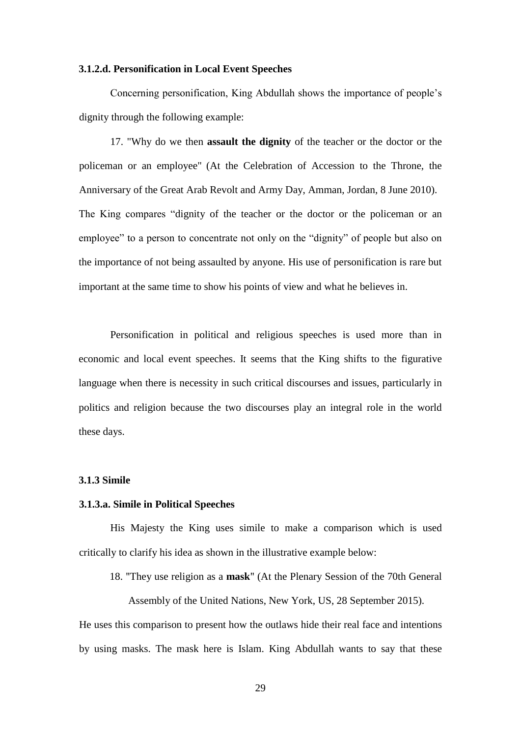#### **3.1.2.d. Personification in Local Event Speeches**

Concerning personification, King Abdullah shows the importance of people's dignity through the following example:

17. "Why do we then **assault the dignity** of the teacher or the doctor or the policeman or an employee" (At the Celebration of Accession to the Throne, the Anniversary of the Great Arab Revolt and Army Day, Amman, Jordan, 8 June 2010). The King compares "dignity of the teacher or the doctor or the policeman or an employee" to a person to concentrate not only on the "dignity" of people but also on the importance of not being assaulted by anyone. His use of personification is rare but important at the same time to show his points of view and what he believes in.

Personification in political and religious speeches is used more than in economic and local event speeches. It seems that the King shifts to the figurative language when there is necessity in such critical discourses and issues, particularly in politics and religion because the two discourses play an integral role in the world these days.

#### **3.1.3 Simile**

### **3.1.3.a. Simile in Political Speeches**

His Majesty the King uses simile to make a comparison which is used critically to clarify his idea as shown in the illustrative example below:

18. "They use religion as a **mask**" (At the Plenary Session of the 70th General

Assembly of the United Nations, New York, US, 28 September 2015).

He uses this comparison to present how the outlaws hide their real face and intentions by using masks. The mask here is Islam. King Abdullah wants to say that these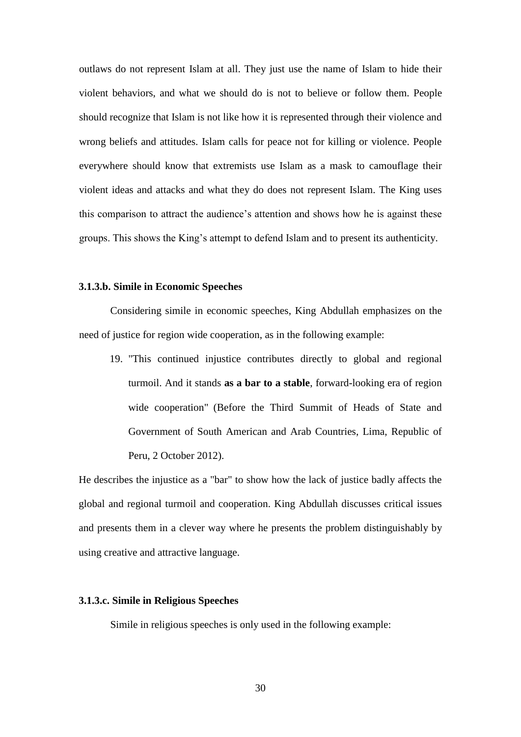outlaws do not represent Islam at all. They just use the name of Islam to hide their violent behaviors, and what we should do is not to believe or follow them. People should recognize that Islam is not like how it is represented through their violence and wrong beliefs and attitudes. Islam calls for peace not for killing or violence. People everywhere should know that extremists use Islam as a mask to camouflage their violent ideas and attacks and what they do does not represent Islam. The King uses this comparison to attract the audience's attention and shows how he is against these groups. This shows the King's attempt to defend Islam and to present its authenticity.

### **3.1.3.b. Simile in Economic Speeches**

Considering simile in economic speeches, King Abdullah emphasizes on the need of justice for region wide cooperation, as in the following example:

19. "This continued injustice contributes directly to global and regional turmoil. And it stands **as a bar to a stable**, forward-looking era of region wide cooperation" (Before the Third Summit of Heads of State and Government of South American and Arab Countries, Lima, Republic of Peru, 2 October 2012).

He describes the injustice as a "bar" to show how the lack of justice badly affects the global and regional turmoil and cooperation. King Abdullah discusses critical issues and presents them in a clever way where he presents the problem distinguishably by using creative and attractive language.

# **3.1.3.c. Simile in Religious Speeches**

Simile in religious speeches is only used in the following example: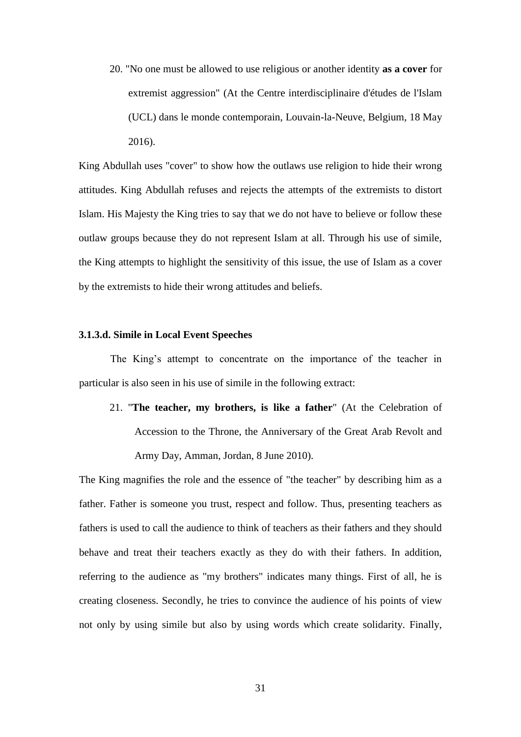20. "No one must be allowed to use religious or another identity **as a cover** for extremist aggression" (At the Centre interdisciplinaire d'études de l'Islam (UCL) dans le monde contemporain, Louvain-la-Neuve, Belgium, 18 May 2016).

King Abdullah uses "cover" to show how the outlaws use religion to hide their wrong attitudes. King Abdullah refuses and rejects the attempts of the extremists to distort Islam. His Majesty the King tries to say that we do not have to believe or follow these outlaw groups because they do not represent Islam at all. Through his use of simile, the King attempts to highlight the sensitivity of this issue, the use of Islam as a cover by the extremists to hide their wrong attitudes and beliefs.

### **3.1.3.d. Simile in Local Event Speeches**

The King's attempt to concentrate on the importance of the teacher in particular is also seen in his use of simile in the following extract:

21. "**The teacher, my brothers, is like a father**" (At the Celebration of Accession to the Throne, the Anniversary of the Great Arab Revolt and Army Day, Amman, Jordan, 8 June 2010).

The King magnifies the role and the essence of "the teacher" by describing him as a father. Father is someone you trust, respect and follow. Thus, presenting teachers as fathers is used to call the audience to think of teachers as their fathers and they should behave and treat their teachers exactly as they do with their fathers. In addition, referring to the audience as "my brothers" indicates many things. First of all, he is creating closeness. Secondly, he tries to convince the audience of his points of view not only by using simile but also by using words which create solidarity. Finally,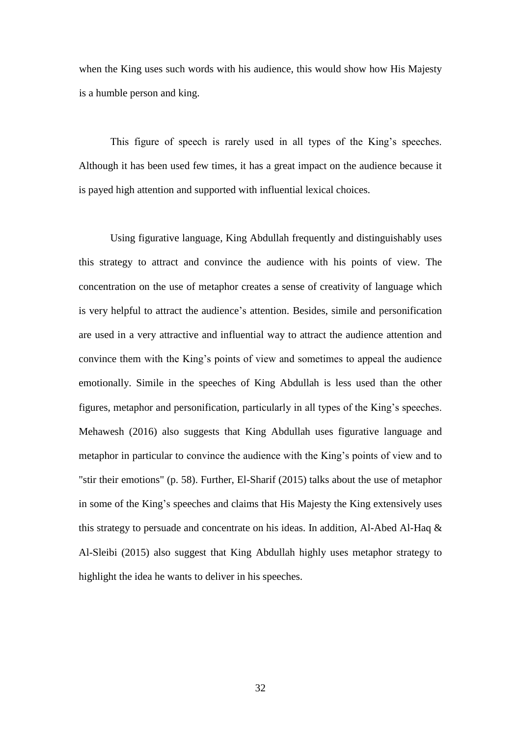when the King uses such words with his audience, this would show how His Majesty is a humble person and king.

This figure of speech is rarely used in all types of the King's speeches. Although it has been used few times, it has a great impact on the audience because it is payed high attention and supported with influential lexical choices.

Using figurative language, King Abdullah frequently and distinguishably uses this strategy to attract and convince the audience with his points of view. The concentration on the use of metaphor creates a sense of creativity of language which is very helpful to attract the audience's attention. Besides, simile and personification are used in a very attractive and influential way to attract the audience attention and convince them with the King's points of view and sometimes to appeal the audience emotionally. Simile in the speeches of King Abdullah is less used than the other figures, metaphor and personification, particularly in all types of the King's speeches. Mehawesh (2016) also suggests that King Abdullah uses figurative language and metaphor in particular to convince the audience with the King's points of view and to "stir their emotions" (p. 58). Further, El-Sharif (2015) talks about the use of metaphor in some of the King's speeches and claims that His Majesty the King extensively uses this strategy to persuade and concentrate on his ideas. In addition, Al-Abed Al-Haq & Al-Sleibi (2015) also suggest that King Abdullah highly uses metaphor strategy to highlight the idea he wants to deliver in his speeches.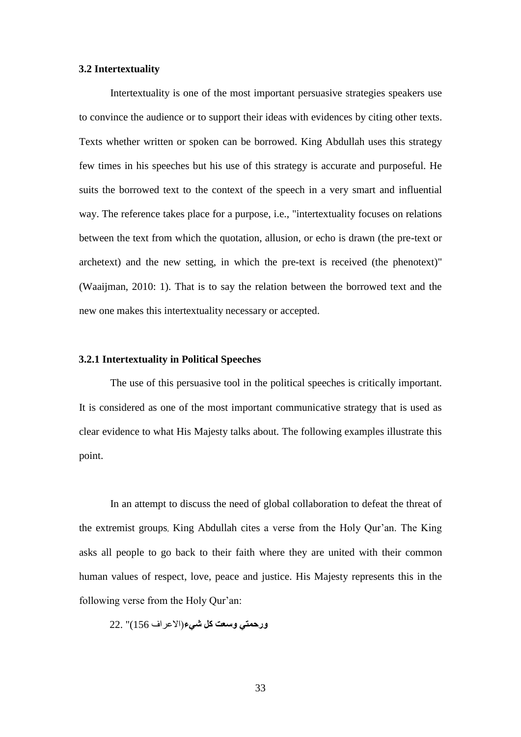### **3.2 Intertextuality**

Intertextuality is one of the most important persuasive strategies speakers use to convince the audience or to support their ideas with evidences by citing other texts. Texts whether written or spoken can be borrowed. King Abdullah uses this strategy few times in his speeches but his use of this strategy is accurate and purposeful. He suits the borrowed text to the context of the speech in a very smart and influential way. The reference takes place for a purpose, i.e., "intertextuality focuses on relations between the text from which the quotation, allusion, or echo is drawn (the pre-text or archetext) and the new setting, in which the pre-text is received (the phenotext)" (Waaijman, 2010: 1). That is to say the relation between the borrowed text and the new one makes this intertextuality necessary or accepted.

### **3.2.1 Intertextuality in Political Speeches**

The use of this persuasive tool in the political speeches is critically important. It is considered as one of the most important communicative strategy that is used as clear evidence to what His Majesty talks about. The following examples illustrate this point.

In an attempt to discuss the need of global collaboration to defeat the threat of the extremist groups, King Abdullah cites a verse from the Holy Qur'an. The King asks all people to go back to their faith where they are united with their common human values of respect, love, peace and justice. His Majesty represents this in the following verse from the Holy Qur'an:

**ورحمتي وسعت كل شيء**)االعراف 156)" 22.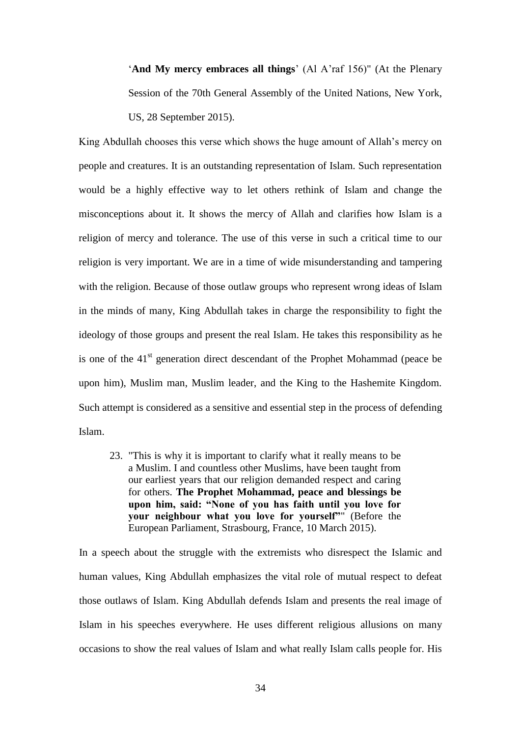'**And My mercy embraces all things**' (Al A'raf 156)" (At the Plenary Session of the 70th General Assembly of the United Nations, New York, US, 28 September 2015).

King Abdullah chooses this verse which shows the huge amount of Allah's mercy on people and creatures. It is an outstanding representation of Islam. Such representation would be a highly effective way to let others rethink of Islam and change the misconceptions about it. It shows the mercy of Allah and clarifies how Islam is a religion of mercy and tolerance. The use of this verse in such a critical time to our religion is very important. We are in a time of wide misunderstanding and tampering with the religion. Because of those outlaw groups who represent wrong ideas of Islam in the minds of many, King Abdullah takes in charge the responsibility to fight the ideology of those groups and present the real Islam. He takes this responsibility as he is one of the  $41<sup>st</sup>$  generation direct descendant of the Prophet Mohammad (peace be upon him), Muslim man, Muslim leader, and the King to the Hashemite Kingdom. Such attempt is considered as a sensitive and essential step in the process of defending Islam.

23. "This is why it is important to clarify what it really means to be a Muslim. I and countless other Muslims, have been taught from our earliest years that our religion demanded respect and caring for others. **The Prophet Mohammad, peace and blessings be upon him, said: "None of you has faith until you love for your neighbour what you love for yourself"**" (Before the European Parliament, Strasbourg, France, 10 March 2015).

In a speech about the struggle with the extremists who disrespect the Islamic and human values, King Abdullah emphasizes the vital role of mutual respect to defeat those outlaws of Islam. King Abdullah defends Islam and presents the real image of Islam in his speeches everywhere. He uses different religious allusions on many occasions to show the real values of Islam and what really Islam calls people for. His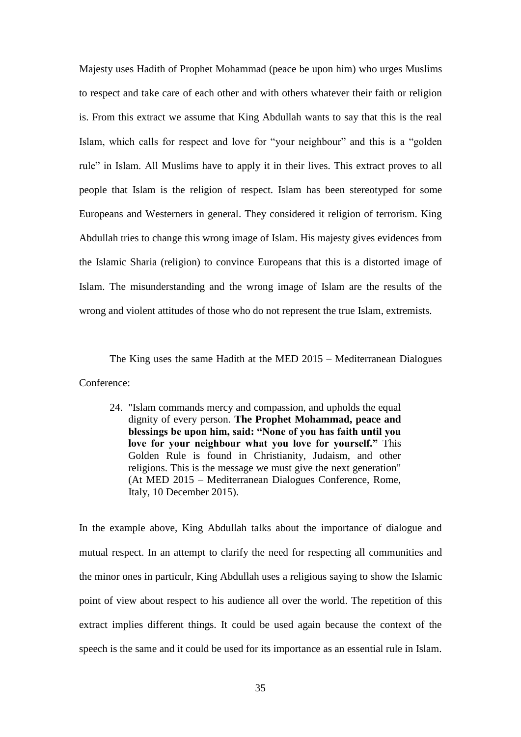Majesty uses Hadith of Prophet Mohammad (peace be upon him) who urges Muslims to respect and take care of each other and with others whatever their faith or religion is. From this extract we assume that King Abdullah wants to say that this is the real Islam, which calls for respect and love for "your neighbour" and this is a "golden rule" in Islam. All Muslims have to apply it in their lives. This extract proves to all people that Islam is the religion of respect. Islam has been stereotyped for some Europeans and Westerners in general. They considered it religion of terrorism. King Abdullah tries to change this wrong image of Islam. His majesty gives evidences from the Islamic Sharia (religion) to convince Europeans that this is a distorted image of Islam. The misunderstanding and the wrong image of Islam are the results of the wrong and violent attitudes of those who do not represent the true Islam, extremists.

The King uses the same Hadith at the MED 2015 – Mediterranean Dialogues Conference:

24. "Islam commands mercy and compassion, and upholds the equal dignity of every person. **The Prophet Mohammad, peace and blessings be upon him, said: "None of you has faith until you love for your neighbour what you love for yourself."** This Golden Rule is found in Christianity, Judaism, and other religions. This is the message we must give the next generation" (At MED 2015 – Mediterranean Dialogues Conference, Rome, Italy, 10 December 2015).

In the example above, King Abdullah talks about the importance of dialogue and mutual respect. In an attempt to clarify the need for respecting all communities and the minor ones in particulr, King Abdullah uses a religious saying to show the Islamic point of view about respect to his audience all over the world. The repetition of this extract implies different things. It could be used again because the context of the speech is the same and it could be used for its importance as an essential rule in Islam.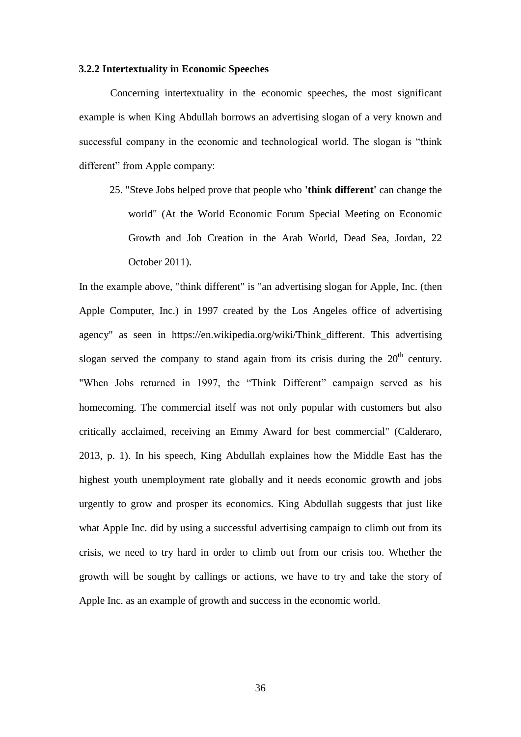#### **3.2.2 Intertextuality in Economic Speeches**

Concerning intertextuality in the economic speeches, the most significant example is when King Abdullah borrows an [advertising slogan](https://en.wikipedia.org/wiki/Advertising_slogan) of a very known and successful company in the economic and technological world. The slogan is "think different" from Apple company:

25. "Steve Jobs helped prove that people who **'think different'** can change the world" (At the World Economic Forum Special Meeting on Economic Growth and Job Creation in the Arab World, Dead Sea, Jordan, 22 October 2011).

In the example above, "think different" is "an [advertising slogan](https://en.wikipedia.org/wiki/Advertising_slogan) for [Apple, Inc.](https://en.wikipedia.org/wiki/Apple_Computer) (then Apple Computer, Inc.) in 1997 created by the [Los Angeles](https://en.wikipedia.org/wiki/Los_Angeles) office of [advertising](https://en.wikipedia.org/wiki/Advertising_agency)  [agency"](https://en.wikipedia.org/wiki/Advertising_agency) as seen in [https://en.wikipedia.org/wiki/Think\\_different.](https://en.wikipedia.org/wiki/Think_different) This advertising slogan served the company to stand again from its crisis during the  $20<sup>th</sup>$  century. "When Jobs returned in 1997, the "Think Different" campaign served as his homecoming. The commercial itself was not only popular with customers but also critically acclaimed, receiving an Emmy Award for best commercial" (Calderaro, 2013, p. 1). In his speech, King Abdullah explaines how the Middle East has the highest youth unemployment rate globally and it needs economic growth and jobs urgently to grow and prosper its economics. King Abdullah suggests that just like what Apple Inc. did by using a successful advertising campaign to climb out from its crisis, we need to try hard in order to climb out from our crisis too. Whether the growth will be sought by callings or actions, we have to try and take the story of Apple Inc. as an example of growth and success in the economic world.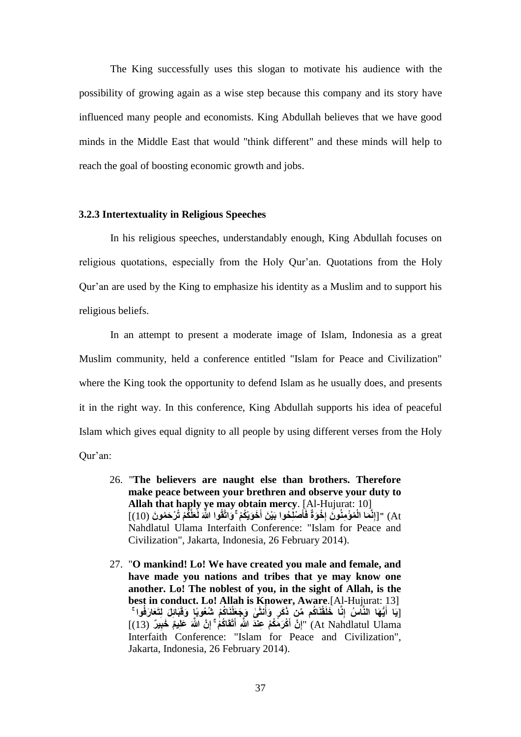The King successfully uses this slogan to motivate his audience with the possibility of growing again as a wise step because this company and its story have influenced many people and economists. King Abdullah believes that we have good minds in the Middle East that would "think different" and these minds will help to reach the goal of boosting economic growth and jobs.

### **3.2.3 Intertextuality in Religious Speeches**

In his religious speeches, understandably enough, King Abdullah focuses on religious quotations, especially from the Holy Qur'an. Quotations from the Holy Qur'an are used by the King to emphasize his identity as a Muslim and to support his religious beliefs.

In an attempt to present a moderate image of Islam, Indonesia as a great Muslim community, held a conference entitled "Islam for Peace and Civilization" where the King took the opportunity to defend Islam as he usually does, and presents it in the right way. In this conference, King Abdullah supports his idea of peaceful Islam which gives equal dignity to all people by using different verses from the Holy Qur'an:

- 26. "**The believers are naught else than brothers. Therefore make peace between your brethren and observe your duty to Allah that haply ye may obtain mercy**. [Al-Hujurat: 10] At) "[إِنَّمَا الْمُؤْمِنُونَ إِخْوَةٌ فَأَصْلِّحُوا بَيْنَ أَخَوَيْكُمْ ۚ وَاتَّقُوا اللَّهَ لَعَلَّكُمْ تُرْحَمُونَ (10)] **َ َ ِ** Nahdlatul Ulama Interfaith Conference: "Islam for Peace and Civilization", Jakarta, Indonesia, 26 February 2014).
- 27. "**O mankind! Lo! We have created you male and female, and have made you nations and tribes that ye may know one another. Lo! The noblest of you, in the sight of Allah, is the best in conduct. Lo! Allah is Knower, Aware**.[Al-Hujurat: 13] [يَا أَيُّهَا النَّاسُ إِنَّا خَلَقْنَاكُم مِّنٍۢ ذَكَرٍ وَأُنثَىٰ وَجَعَلْنَاكُمْ شُعُوبًا وَقَبَائِلَ لِتَعَارَفُوا **ُ َ** At Nahdlatul Ulama) "إِنَّ أَكْرَمَكُمْ عِنْدَ اللَّهِ أَتْقَاكُمْ ۚ إِنَّ اللَّهَ عَلِيمٌ خَبِيرٌ (13)] **َ َ** Interfaith Conference: "Islam for Peace and Civilization", Jakarta, Indonesia, 26 February 2014).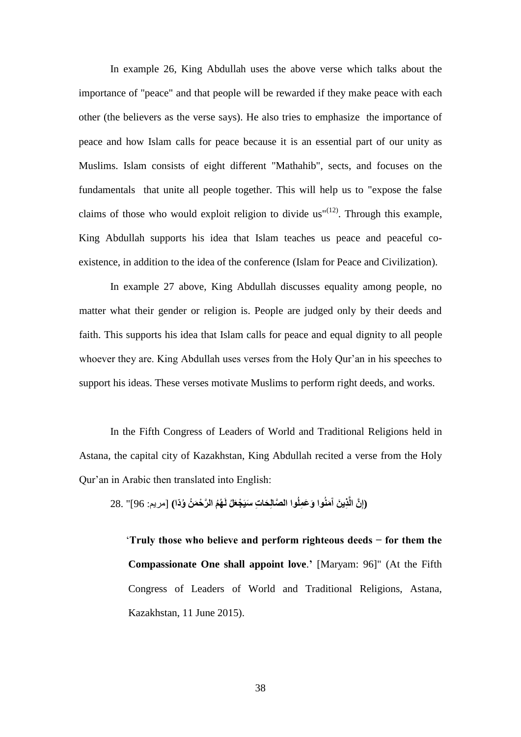In example 26, King Abdullah uses the above verse which talks about the importance of "peace" and that people will be rewarded if they make peace with each other (the believers as the verse says). He also tries to emphasize the importance of peace and how Islam calls for peace because it is an essential part of our unity as Muslims. Islam consists of eight different "Mathahib", sects, and focuses on the fundamentals that unite all people together. This will help us to "expose the false claims of those who would exploit religion to divide  $us''^{(12)}$ . Through this example, King Abdullah supports his idea that Islam teaches us peace and peaceful coexistence, in addition to the idea of the conference (Islam for Peace and Civilization).

In example 27 above, King Abdullah discusses equality among people, no matter what their gender or religion is. People are judged only by their deeds and faith. This supports his idea that Islam calls for peace and equal dignity to all people whoever they are. King Abdullah uses verses from the Holy Qur'an in his speeches to support his ideas. These verses motivate Muslims to perform right deeds, and works.

In the Fifth Congress of Leaders of World and Traditional Religions held in Astana, the capital city of Kazakhstan, King Abdullah recited a verse from the Holy Qur'an in Arabic then translated into English:

(إِنَّ الَّذِينَ آَمَنُوا وَعَمِلُوا الصَّالِحَاتِ سَيَجْعَلُ لَهُمُ الرَّحْمَنُ وُذَا) [مريم: 96]" .28

 '**Truly those who believe and perform righteous deeds − for them the Compassionate One shall appoint love**.**'** [Maryam: 96]" (At the Fifth Congress of Leaders of World and Traditional Religions, Astana, Kazakhstan, 11 June 2015).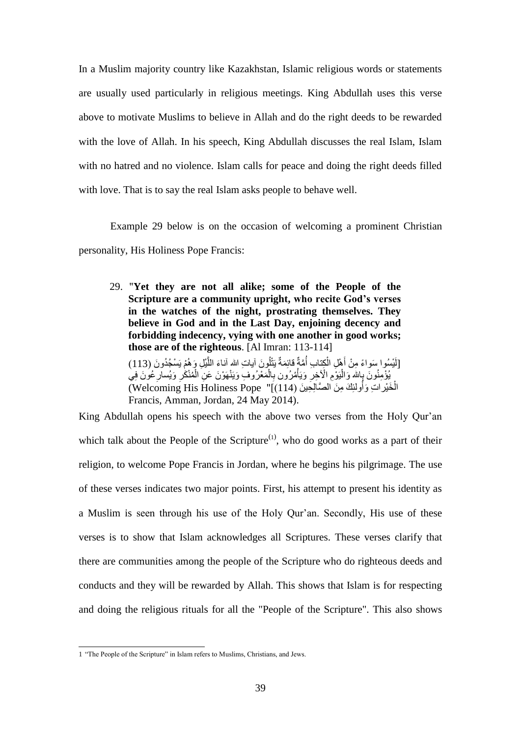In a Muslim majority country like Kazakhstan, Islamic religious words or statements are usually used particularly in religious meetings. King Abdullah uses this verse above to motivate Muslims to believe in Allah and do the right deeds to be rewarded with the love of Allah. In his speech, King Abdullah discusses the real Islam, Islam with no hatred and no violence. Islam calls for peace and doing the right deeds filled with love. That is to say the real Islam asks people to behave well.

Example 29 below is on the occasion of welcoming a prominent Christian personality, His Holiness Pope Francis:

29. "**Yet they are not all alike; some of the People of the Scripture are a community upright, who recite God's verses in the watches of the night, prostrating themselves. They believe in God and in the Last Day, enjoining decency and forbidding indecency, vying with one another in good works; those are of the righteous**. [Al Imran: 113-114]

[لَيْسُوا سَواءً مِنْ أَهْلِ الْكِتابِ أُمَّةٌ قائِمَةٌ يَتْلُونَ آياتِ اللهِ آناءَ اللَّيْلِ وَهُمْ يَسْجُدُونَ (113) َّ ُ ْ َ ِ يُؤْمِنُونَ بِإِللهِ وَالْيَوْمِ الْأَخِرِ وَيَأْمُرُون بِالْمَعْرُوفِ وَيَنْهَوْنَ عَنِ الْمُنْكَرِ وَيُسارِعُونَ فِي ْ  $\overline{\phantom{a}}$ ْ ِ ْ ْ ِ الْخَيْر اتِ وَأُولئِكَ مِنَ الصَّالِحِينَ (Welcoming His Holiness Pope "[(114) ا<br>ا Francis, Amman, Jordan, 24 May 2014).

King Abdullah opens his speech with the above two verses from the Holy Qur'an which talk about the People of the Scripture<sup> $(1)$ </sup>, who do good works as a part of their religion, to welcome Pope Francis in Jordan, where he begins his pilgrimage. The use of these verses indicates two major points. First, his attempt to present his identity as a Muslim is seen through his use of the Holy Qur'an. Secondly, His use of these verses is to show that Islam acknowledges all Scriptures. These verses clarify that there are communities among the people of the Scripture who do righteous deeds and conducts and they will be rewarded by Allah. This shows that Islam is for respecting and doing the religious rituals for all the "People of the Scripture". This also shows

 1 "The People of the Scripture" in Islam refers to Muslims, Christians, and Jews.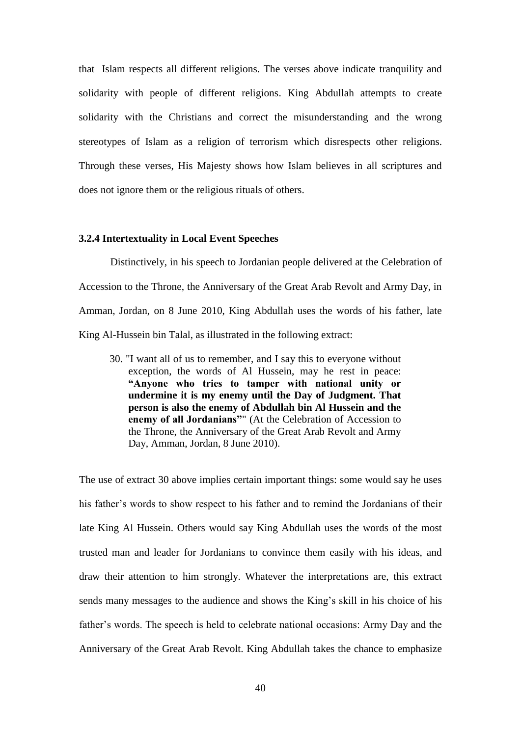that Islam respects all different religions. The verses above indicate tranquility and solidarity with people of different religions. King Abdullah attempts to create solidarity with the Christians and correct the misunderstanding and the wrong stereotypes of Islam as a religion of terrorism which disrespects other religions. Through these verses, His Majesty shows how Islam believes in all scriptures and does not ignore them or the religious rituals of others.

### **3.2.4 Intertextuality in Local Event Speeches**

Distinctively, in his speech to Jordanian people delivered at the Celebration of Accession to the Throne, the Anniversary of the Great Arab Revolt and Army Day, in Amman, Jordan, on 8 June 2010, King Abdullah uses the words of his father, late King Al-Hussein bin Talal, as illustrated in the following extract:

30. "I want all of us to remember, and I say this to everyone without exception, the words of Al Hussein, may he rest in peace: **"Anyone who tries to tamper with national unity or undermine it is my enemy until the Day of Judgment. That person is also the enemy of Abdullah bin Al Hussein and the enemy of all Jordanians"**" (At the Celebration of Accession to the Throne, the Anniversary of the Great Arab Revolt and Army Day, Amman, Jordan, 8 June 2010).

The use of extract 30 above implies certain important things: some would say he uses his father's words to show respect to his father and to remind the Jordanians of their late King Al Hussein. Others would say King Abdullah uses the words of the most trusted man and leader for Jordanians to convince them easily with his ideas, and draw their attention to him strongly. Whatever the interpretations are, this extract sends many messages to the audience and shows the King's skill in his choice of his father's words. The speech is held to celebrate national occasions: Army Day and the Anniversary of the Great Arab Revolt. King Abdullah takes the chance to emphasize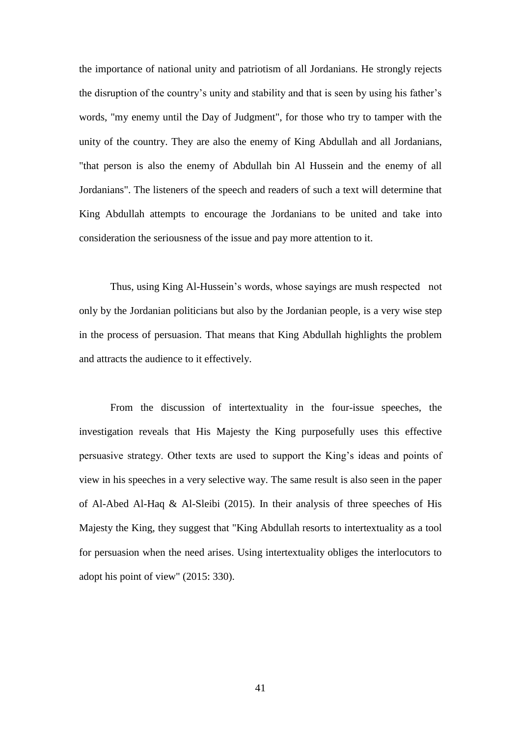the importance of national unity and patriotism of all Jordanians. He strongly rejects the disruption of the country's unity and stability and that is seen by using his father's words, "my enemy until the Day of Judgment", for those who try to tamper with the unity of the country. They are also the enemy of King Abdullah and all Jordanians, "that person is also the enemy of Abdullah bin Al Hussein and the enemy of all Jordanians". The listeners of the speech and readers of such a text will determine that King Abdullah attempts to encourage the Jordanians to be united and take into consideration the seriousness of the issue and pay more attention to it.

Thus, using King Al-Hussein's words, whose sayings are mush respected not only by the Jordanian politicians but also by the Jordanian people, is a very wise step in the process of persuasion. That means that King Abdullah highlights the problem and attracts the audience to it effectively.

From the discussion of intertextuality in the four-issue speeches, the investigation reveals that His Majesty the King purposefully uses this effective persuasive strategy. Other texts are used to support the King's ideas and points of view in his speeches in a very selective way. The same result is also seen in the paper of Al-Abed Al-Haq & Al-Sleibi (2015). In their analysis of three speeches of His Majesty the King, they suggest that "King Abdullah resorts to intertextuality as a tool for persuasion when the need arises. Using intertextuality obliges the interlocutors to adopt his point of view" (2015: 330).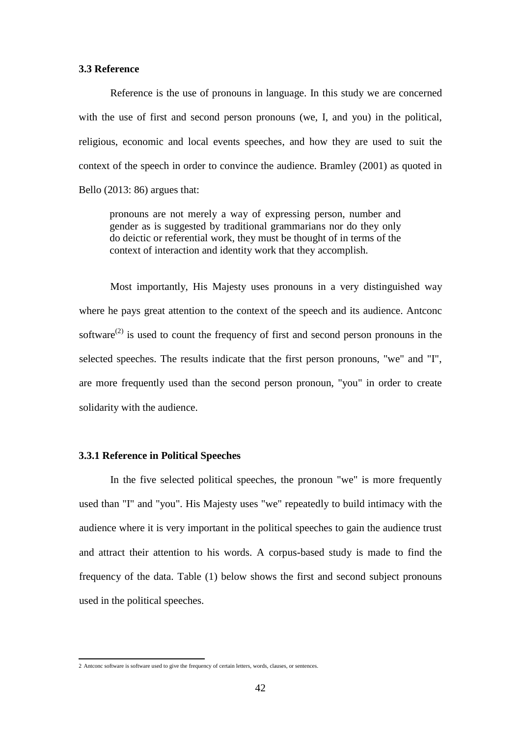### **3.3 Reference**

Reference is the use of pronouns in language. In this study we are concerned with the use of first and second person pronouns (we, I, and you) in the political, religious, economic and local events speeches, and how they are used to suit the context of the speech in order to convince the audience. Bramley (2001) as quoted in Bello (2013: 86) argues that:

pronouns are not merely a way of expressing person, number and gender as is suggested by traditional grammarians nor do they only do deictic or referential work, they must be thought of in terms of the context of interaction and identity work that they accomplish.

Most importantly, His Majesty uses pronouns in a very distinguished way where he pays great attention to the context of the speech and its audience. Antconc software<sup>(2)</sup> is used to count the frequency of first and second person pronouns in the selected speeches. The results indicate that the first person pronouns, "we" and "I", are more frequently used than the second person pronoun, "you" in order to create solidarity with the audience.

# **3.3.1 Reference in Political Speeches**

In the five selected political speeches, the pronoun "we" is more frequently used than "I" and "you". His Majesty uses "we" repeatedly to build intimacy with the audience where it is very important in the political speeches to gain the audience trust and attract their attention to his words. A corpus-based study is made to find the frequency of the data. Table (1) below shows the first and second subject pronouns used in the political speeches.

 2 Antconc software is software used to give the frequency of certain letters, words, clauses, or sentences.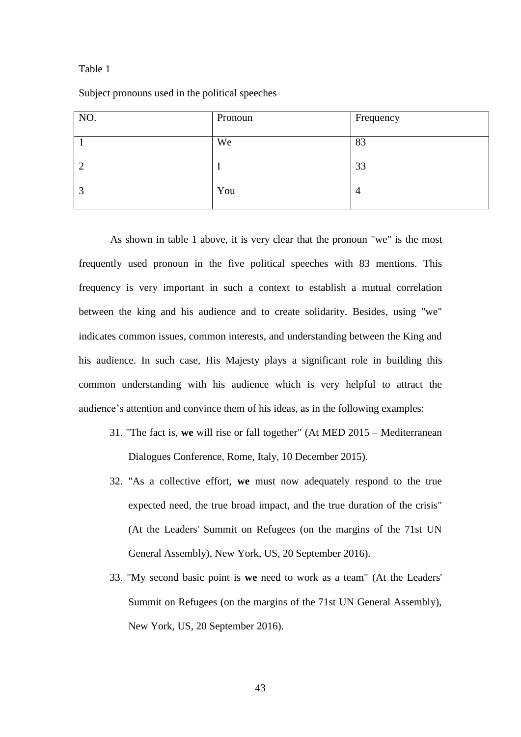### Table 1

Subject pronouns used in the political speeches

| NO.            | Pronoun | Frequency      |
|----------------|---------|----------------|
|                | We      | 83             |
| $\overline{2}$ |         | 33             |
| 3              | You     | $\overline{4}$ |
|                |         |                |

As shown in table 1 above, it is very clear that the pronoun "we" is the most frequently used pronoun in the five political speeches with 83 mentions. This frequency is very important in such a context to establish a mutual correlation between the king and his audience and to create solidarity. Besides, using "we" indicates common issues, common interests, and understanding between the King and his audience. In such case, His Majesty plays a significant role in building this common understanding with his audience which is very helpful to attract the audience's attention and convince them of his ideas, as in the following examples:

- 31. "The fact is, **we** will rise or fall together" (At MED 2015 Mediterranean Dialogues Conference, Rome, Italy, 10 December 2015).
- 32. "As a collective effort, **we** must now adequately respond to the true expected need, the true broad impact, and the true duration of the crisis" (At the Leaders' Summit on Refugees (on the margins of the 71st UN General Assembly), New York, US, 20 September 2016).
- 33. "My second basic point is **we** need to work as a team" (At the Leaders' Summit on Refugees (on the margins of the 71st UN General Assembly), New York, US, 20 September 2016).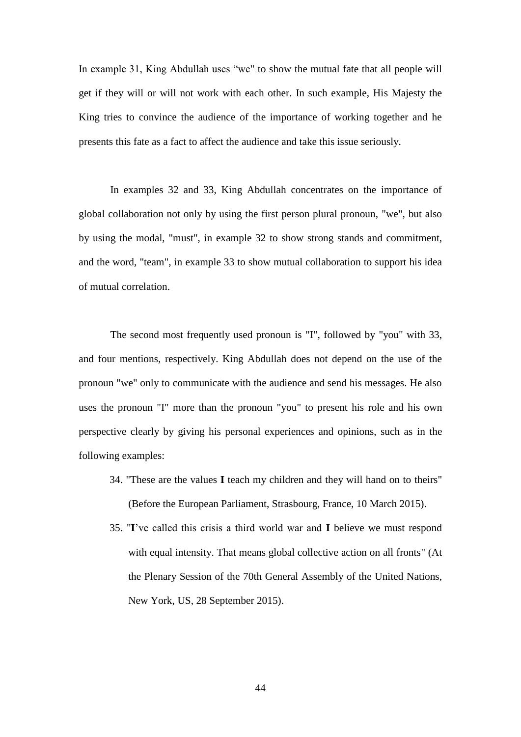In example 31, King Abdullah uses "we" to show the mutual fate that all people will get if they will or will not work with each other. In such example, His Majesty the King tries to convince the audience of the importance of working together and he presents this fate as a fact to affect the audience and take this issue seriously.

In examples 32 and 33, King Abdullah concentrates on the importance of global collaboration not only by using the first person plural pronoun, "we", but also by using the modal, "must", in example 32 to show strong stands and commitment, and the word, "team", in example 33 to show mutual collaboration to support his idea of mutual correlation.

The second most frequently used pronoun is "I", followed by "you" with 33, and four mentions, respectively. King Abdullah does not depend on the use of the pronoun "we" only to communicate with the audience and send his messages. He also uses the pronoun "I" more than the pronoun "you" to present his role and his own perspective clearly by giving his personal experiences and opinions, such as in the following examples:

- 34. "These are the values **I** teach my children and they will hand on to theirs" (Before the European Parliament, Strasbourg, France, 10 March 2015).
- 35. "**I**'ve called this crisis a third world war and **I** believe we must respond with equal intensity. That means global collective action on all fronts" (At the Plenary Session of the 70th General Assembly of the United Nations, New York, US, 28 September 2015).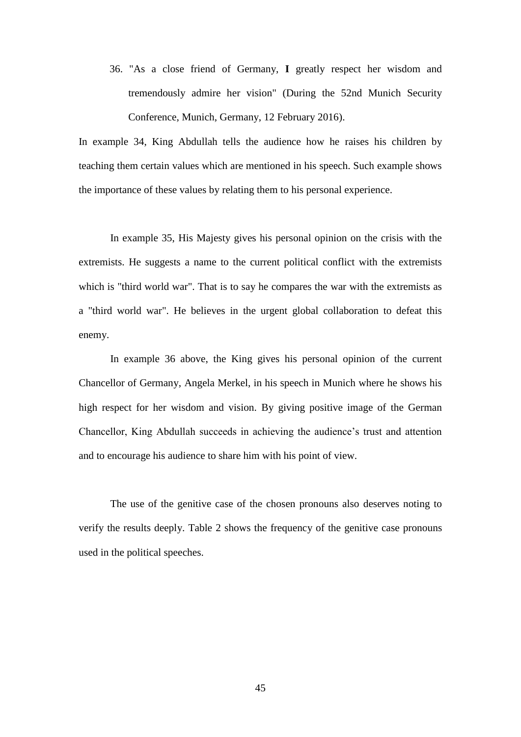36. "As a close friend of Germany, **I** greatly respect her wisdom and tremendously admire her vision" (During the 52nd Munich Security Conference, Munich, Germany, 12 February 2016).

In example 34, King Abdullah tells the audience how he raises his children by teaching them certain values which are mentioned in his speech. Such example shows the importance of these values by relating them to his personal experience.

In example 35, His Majesty gives his personal opinion on the crisis with the extremists. He suggests a name to the current political conflict with the extremists which is "third world war". That is to say he compares the war with the extremists as a "third world war". He believes in the urgent global collaboration to defeat this enemy.

In example 36 above, the King gives his personal opinion of the current Chancellor of Germany, Angela Merkel, in his speech in Munich where he shows his high respect for her wisdom and vision. By giving positive image of the German Chancellor, King Abdullah succeeds in achieving the audience's trust and attention and to encourage his audience to share him with his point of view.

The use of the genitive case of the chosen pronouns also deserves noting to verify the results deeply. Table 2 shows the frequency of the genitive case pronouns used in the political speeches.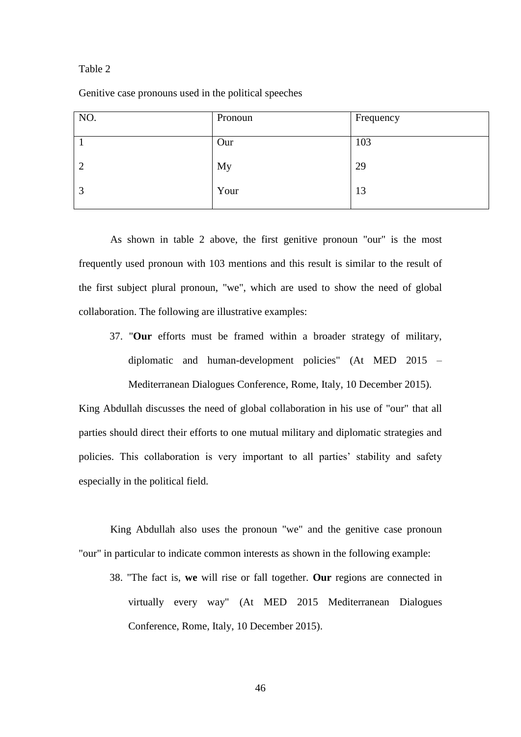#### Table 2

Genitive case pronouns used in the political speeches

| NO.            | Pronoun | Frequency |
|----------------|---------|-----------|
|                | Our     | 103       |
| $\overline{2}$ | My      | 29        |
| 3              | Your    | 13        |
|                |         |           |

As shown in table 2 above, the first genitive pronoun "our" is the most frequently used pronoun with 103 mentions and this result is similar to the result of the first subject plural pronoun, "we", which are used to show the need of global collaboration. The following are illustrative examples:

37. "**Our** efforts must be framed within a broader strategy of military, diplomatic and human-development policies" (At MED 2015 – Mediterranean Dialogues Conference, Rome, Italy, 10 December 2015).

King Abdullah discusses the need of global collaboration in his use of "our" that all parties should direct their efforts to one mutual military and diplomatic strategies and policies. This collaboration is very important to all parties' stability and safety especially in the political field.

King Abdullah also uses the pronoun "we" and the genitive case pronoun "our" in particular to indicate common interests as shown in the following example:

38. "The fact is, **we** will rise or fall together. **Our** regions are connected in virtually every way" (At MED 2015 Mediterranean Dialogues Conference, Rome, Italy, 10 December 2015).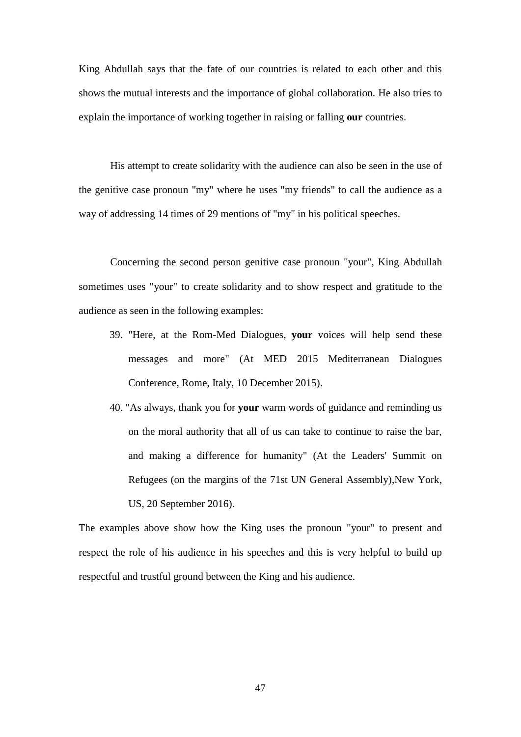King Abdullah says that the fate of our countries is related to each other and this shows the mutual interests and the importance of global collaboration. He also tries to explain the importance of working together in raising or falling **our** countries.

His attempt to create solidarity with the audience can also be seen in the use of the genitive case pronoun "my" where he uses "my friends" to call the audience as a way of addressing 14 times of 29 mentions of "my" in his political speeches.

Concerning the second person genitive case pronoun "your", King Abdullah sometimes uses "your" to create solidarity and to show respect and gratitude to the audience as seen in the following examples:

- 39. "Here, at the Rom-Med Dialogues, **your** voices will help send these messages and more" (At MED 2015 Mediterranean Dialogues Conference, Rome, Italy, 10 December 2015).
- 40. "As always, thank you for **your** warm words of guidance and reminding us on the moral authority that all of us can take to continue to raise the bar, and making a difference for humanity" (At the Leaders' Summit on Refugees (on the margins of the 71st UN General Assembly), New York, US, 20 September 2016).

The examples above show how the King uses the pronoun "your" to present and respect the role of his audience in his speeches and this is very helpful to build up respectful and trustful ground between the King and his audience.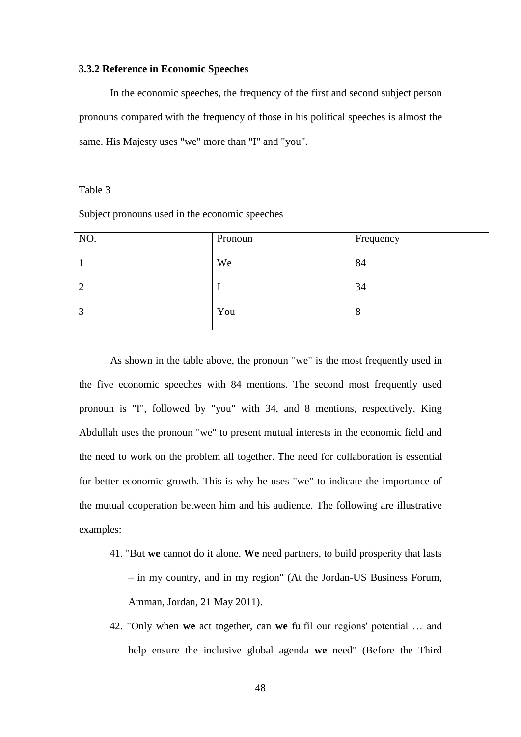### **3.3.2 Reference in Economic Speeches**

In the economic speeches, the frequency of the first and second subject person pronouns compared with the frequency of those in his political speeches is almost the same. His Majesty uses "we" more than "I" and "you".

# Table 3

Subject pronouns used in the economic speeches

| NO.            | Pronoun | Frequency |
|----------------|---------|-----------|
|                | We      | 84        |
| $\overline{2}$ |         | 34        |
| 3              | You     | 8         |

As shown in the table above, the pronoun "we" is the most frequently used in the five economic speeches with 84 mentions. The second most frequently used pronoun is "I", followed by "you" with 34, and 8 mentions, respectively. King Abdullah uses the pronoun "we" to present mutual interests in the economic field and the need to work on the problem all together. The need for collaboration is essential for better economic growth. This is why he uses "we" to indicate the importance of the mutual cooperation between him and his audience. The following are illustrative examples:

- 41. "But **we** cannot do it alone. **We** need partners, to build prosperity that lasts – in my country, and in my region" (At the Jordan-US Business Forum, Amman, Jordan, 21 May 2011).
- 42. "Only when **we** act together, can **we** fulfil our regions' potential … and help ensure the inclusive global agenda **we** need" (Before the Third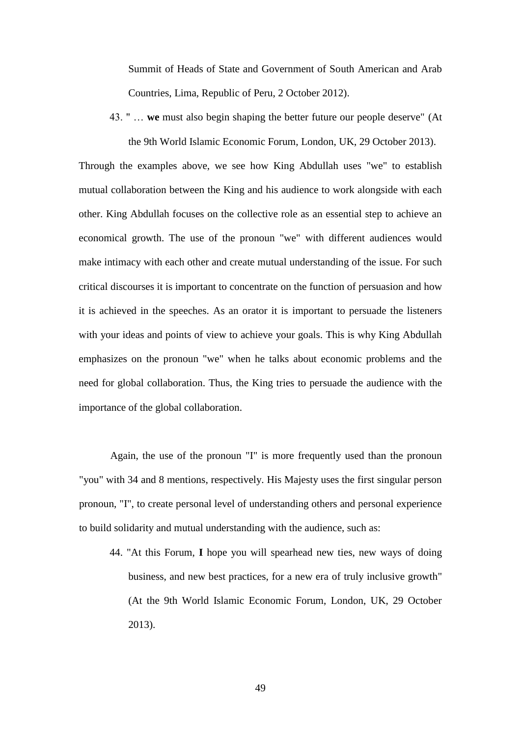Summit of Heads of State and Government of South American and Arab Countries, Lima, Republic of Peru, 2 October 2012).

43. " … **we** must also begin shaping the better future our people deserve" (At the 9th World Islamic Economic Forum, London, UK, 29 October 2013).

Through the examples above, we see how King Abdullah uses "we" to establish mutual collaboration between the King and his audience to work alongside with each other. King Abdullah focuses on the collective role as an essential step to achieve an economical growth. The use of the pronoun "we" with different audiences would make intimacy with each other and create mutual understanding of the issue. For such critical discourses it is important to concentrate on the function of persuasion and how it is achieved in the speeches. As an orator it is important to persuade the listeners with your ideas and points of view to achieve your goals. This is why King Abdullah emphasizes on the pronoun "we" when he talks about economic problems and the need for global collaboration. Thus, the King tries to persuade the audience with the importance of the global collaboration.

Again, the use of the pronoun "I" is more frequently used than the pronoun "you" with 34 and 8 mentions, respectively. His Majesty uses the first singular person pronoun, "I", to create personal level of understanding others and personal experience to build solidarity and mutual understanding with the audience, such as:

44. "At this Forum, **I** hope you will spearhead new ties, new ways of doing business, and new best practices, for a new era of truly inclusive growth" (At the 9th World Islamic Economic Forum, London, UK, 29 October 2013).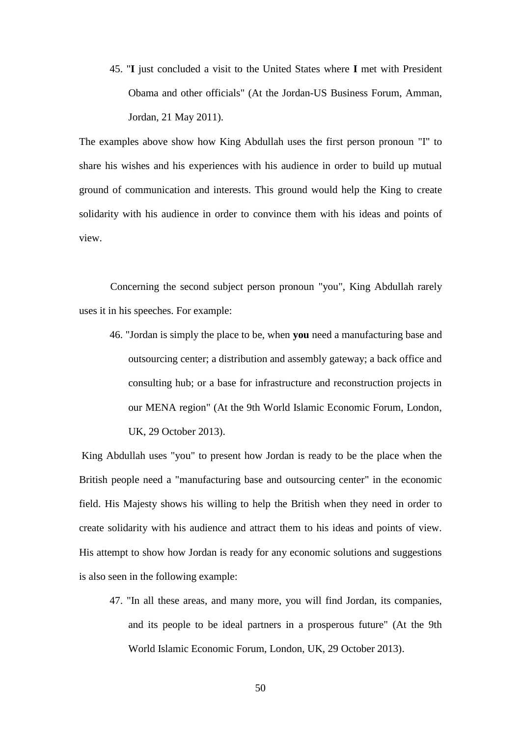45. "**I** just concluded a visit to the United States where **I** met with President Obama and other officials" (At the Jordan-US Business Forum, Amman, Jordan, 21 May 2011).

The examples above show how King Abdullah uses the first person pronoun "I" to share his wishes and his experiences with his audience in order to build up mutual ground of communication and interests. This ground would help the King to create solidarity with his audience in order to convince them with his ideas and points of view.

Concerning the second subject person pronoun "you", King Abdullah rarely uses it in his speeches. For example:

46. "Jordan is simply the place to be, when **you** need a manufacturing base and outsourcing center; a distribution and assembly gateway; a back office and consulting hub; or a base for infrastructure and reconstruction projects in our MENA region" (At the 9th World Islamic Economic Forum, London, UK, 29 October 2013).

King Abdullah uses "you" to present how Jordan is ready to be the place when the British people need a "manufacturing base and outsourcing center" in the economic field. His Majesty shows his willing to help the British when they need in order to create solidarity with his audience and attract them to his ideas and points of view. His attempt to show how Jordan is ready for any economic solutions and suggestions is also seen in the following example:

47. "In all these areas, and many more, you will find Jordan, its companies, and its people to be ideal partners in a prosperous future" (At the 9th World Islamic Economic Forum, London, UK, 29 October 2013).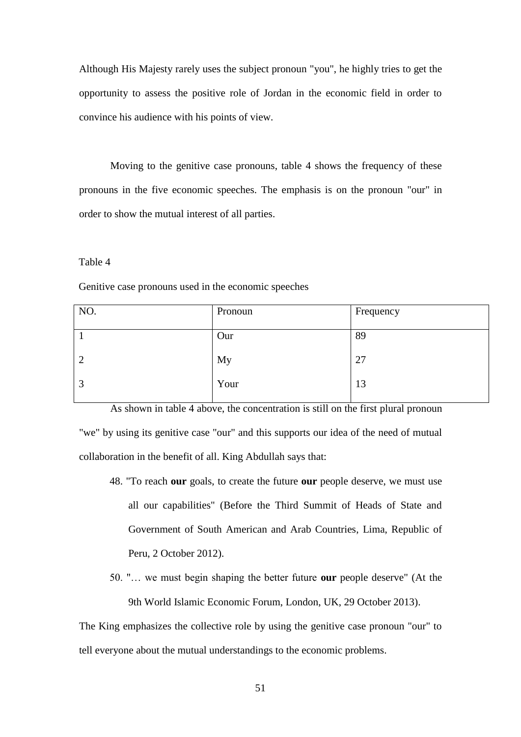Although His Majesty rarely uses the subject pronoun "you", he highly tries to get the opportunity to assess the positive role of Jordan in the economic field in order to convince his audience with his points of view.

Moving to the genitive case pronouns, table 4 shows the frequency of these pronouns in the five economic speeches. The emphasis is on the pronoun "our" in order to show the mutual interest of all parties.

#### Table 4

Genitive case pronouns used in the economic speeches

| NO.            | Pronoun | Frequency |
|----------------|---------|-----------|
|                | Our     | 89        |
| $\overline{2}$ | My      | 27        |
| 3              | Your    | 13        |
|                |         |           |

As shown in table 4 above, the concentration is still on the first plural pronoun "we" by using its genitive case "our" and this supports our idea of the need of mutual collaboration in the benefit of all. King Abdullah says that:

- 48. "To reach **our** goals, to create the future **our** people deserve, we must use all our capabilities" (Before the Third Summit of Heads of State and Government of South American and Arab Countries, Lima, Republic of Peru, 2 October 2012).
- 50. "… we must begin shaping the better future **our** people deserve" (At the 9th World Islamic Economic Forum, London, UK, 29 October 2013).

The King emphasizes the collective role by using the genitive case pronoun "our" to tell everyone about the mutual understandings to the economic problems.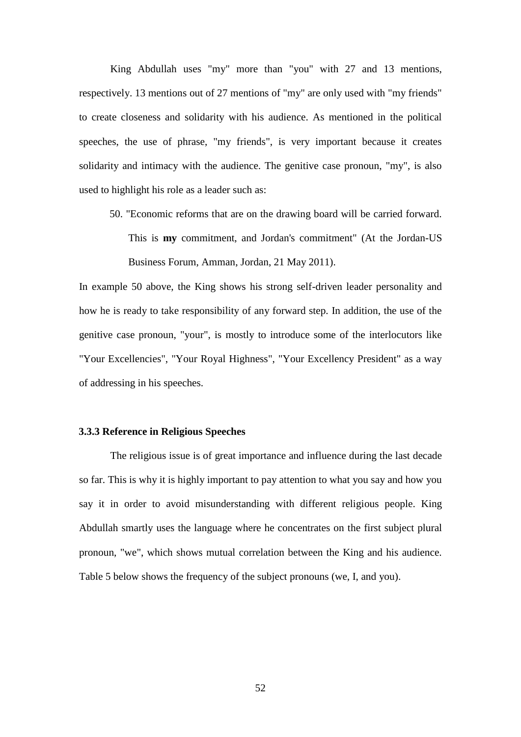King Abdullah uses "my" more than "you" with 27 and 13 mentions, respectively. 13 mentions out of 27 mentions of "my" are only used with "my friends" to create closeness and solidarity with his audience. As mentioned in the political speeches, the use of phrase, "my friends", is very important because it creates solidarity and intimacy with the audience. The genitive case pronoun, "my", is also used to highlight his role as a leader such as:

50. "Economic reforms that are on the drawing board will be carried forward. This is **my** commitment, and Jordan's commitment" (At the Jordan-US Business Forum, Amman, Jordan, 21 May 2011).

In example 50 above, the King shows his strong self-driven leader personality and how he is ready to take responsibility of any forward step. In addition, the use of the genitive case pronoun, "your", is mostly to introduce some of the interlocutors like "Your Excellencies", "Your Royal Highness", "Your Excellency President" as a way of addressing in his speeches.

### **3.3.3 Reference in Religious Speeches**

The religious issue is of great importance and influence during the last decade so far. This is why it is highly important to pay attention to what you say and how you say it in order to avoid misunderstanding with different religious people. King Abdullah smartly uses the language where he concentrates on the first subject plural pronoun, "we", which shows mutual correlation between the King and his audience. Table 5 below shows the frequency of the subject pronouns (we, I, and you).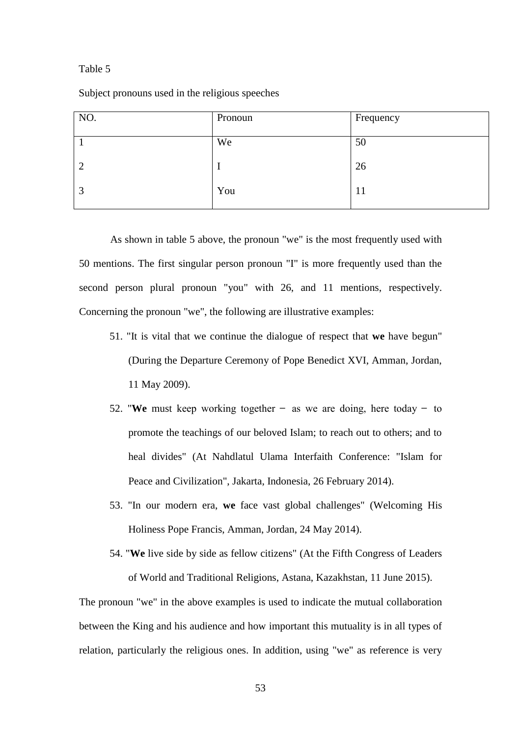#### Table 5

Subject pronouns used in the religious speeches

| NO. | Pronoun | Frequency |
|-----|---------|-----------|
|     | We      | 50        |
| 2   |         | 26        |
| 3   | You     | 11        |
|     |         |           |

As shown in table 5 above, the pronoun "we" is the most frequently used with 50 mentions. The first singular person pronoun "I" is more frequently used than the second person plural pronoun "you" with 26, and 11 mentions, respectively. Concerning the pronoun "we", the following are illustrative examples:

- 51. "It is vital that we continue the dialogue of respect that **we** have begun" (During the Departure Ceremony of Pope Benedict XVI, Amman, Jordan, 11 May 2009).
- 52. "We must keep working together  $-$  as we are doing, here today  $-$  to promote the teachings of our beloved Islam; to reach out to others; and to heal divides" (At Nahdlatul Ulama Interfaith Conference: "Islam for Peace and Civilization", Jakarta, Indonesia, 26 February 2014).
- 53. "In our modern era, **we** face vast global challenges" (Welcoming His Holiness Pope Francis, Amman, Jordan, 24 May 2014).
- 54. "**We** live side by side as fellow citizens" (At the Fifth Congress of Leaders of World and Traditional Religions, Astana, Kazakhstan, 11 June 2015).

The pronoun "we" in the above examples is used to indicate the mutual collaboration between the King and his audience and how important this mutuality is in all types of relation, particularly the religious ones. In addition, using "we" as reference is very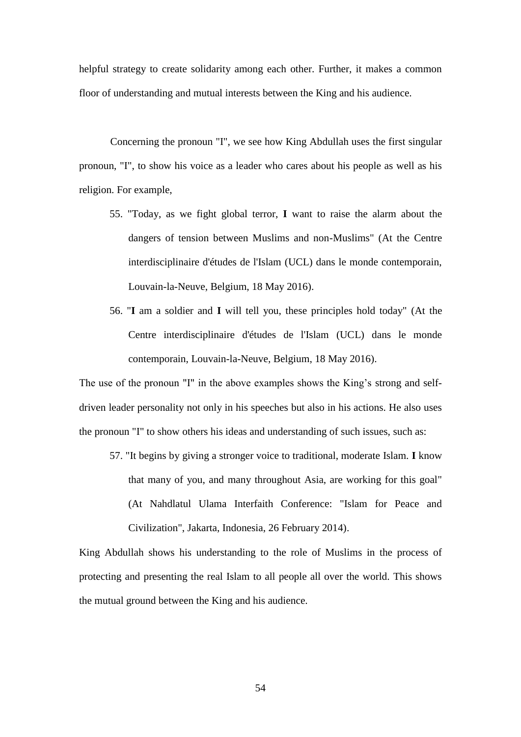helpful strategy to create solidarity among each other. Further, it makes a common floor of understanding and mutual interests between the King and his audience.

Concerning the pronoun "I", we see how King Abdullah uses the first singular pronoun, "I", to show his voice as a leader who cares about his people as well as his religion. For example,

- 55. "Today, as we fight global terror, **I** want to raise the alarm about the dangers of tension between Muslims and non-Muslims" (At the Centre interdisciplinaire d'études de l'Islam (UCL) dans le monde contemporain, Louvain-la-Neuve, Belgium, 18 May 2016).
- 56. "**I** am a soldier and **I** will tell you, these principles hold today" (At the Centre interdisciplinaire d'études de l'Islam (UCL) dans le monde contemporain, Louvain-la-Neuve, Belgium, 18 May 2016).

The use of the pronoun "I" in the above examples shows the King's strong and selfdriven leader personality not only in his speeches but also in his actions. He also uses the pronoun "I" to show others his ideas and understanding of such issues, such as:

57. "It begins by giving a stronger voice to traditional, moderate Islam. **I** know that many of you, and many throughout Asia, are working for this goal" (At Nahdlatul Ulama Interfaith Conference: "Islam for Peace and Civilization", Jakarta, Indonesia, 26 February 2014).

King Abdullah shows his understanding to the role of Muslims in the process of protecting and presenting the real Islam to all people all over the world. This shows the mutual ground between the King and his audience.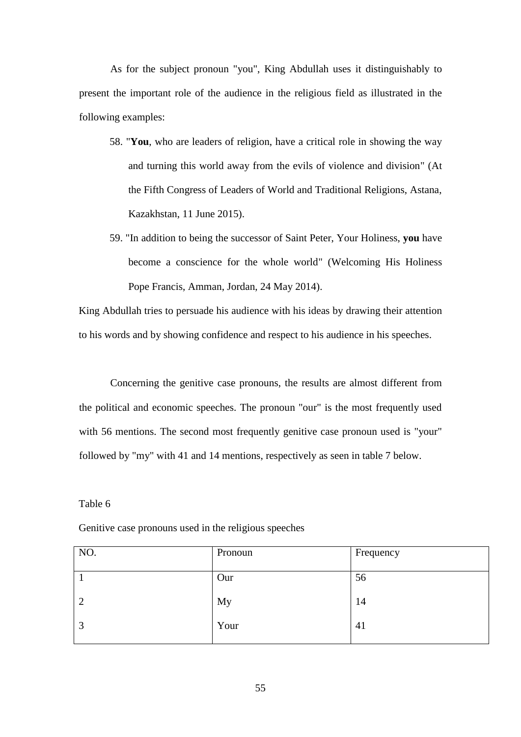As for the subject pronoun "you", King Abdullah uses it distinguishably to present the important role of the audience in the religious field as illustrated in the following examples:

- 58. "**You**, who are leaders of religion, have a critical role in showing the way and turning this world away from the evils of violence and division" (At the Fifth Congress of Leaders of World and Traditional Religions, Astana, Kazakhstan, 11 June 2015).
- 59. "In addition to being the successor of Saint Peter, Your Holiness, **you** have become a conscience for the whole world" (Welcoming His Holiness Pope Francis, Amman, Jordan, 24 May 2014).

King Abdullah tries to persuade his audience with his ideas by drawing their attention to his words and by showing confidence and respect to his audience in his speeches.

Concerning the genitive case pronouns, the results are almost different from the political and economic speeches. The pronoun "our" is the most frequently used with 56 mentions. The second most frequently genitive case pronoun used is "your" followed by "my" with 41 and 14 mentions, respectively as seen in table 7 below.

# Table 6

Genitive case pronouns used in the religious speeches

| NO.            | Pronoun | Frequency |
|----------------|---------|-----------|
|                | Our     | 56        |
| $\overline{2}$ | My      | 14        |
| 3              | Your    | 41        |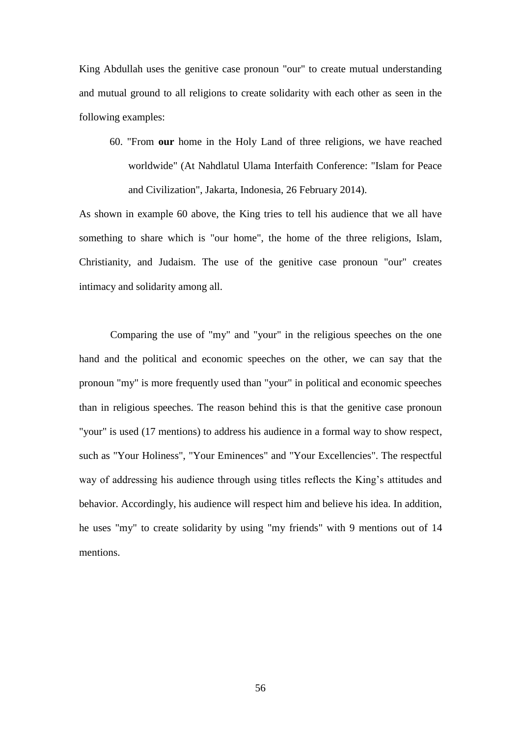King Abdullah uses the genitive case pronoun "our" to create mutual understanding and mutual ground to all religions to create solidarity with each other as seen in the following examples:

60. "From **our** home in the Holy Land of three religions, we have reached worldwide" (At Nahdlatul Ulama Interfaith Conference: "Islam for Peace and Civilization", Jakarta, Indonesia, 26 February 2014).

As shown in example 60 above, the King tries to tell his audience that we all have something to share which is "our home", the home of the three religions, Islam, Christianity, and Judaism. The use of the genitive case pronoun "our" creates intimacy and solidarity among all.

Comparing the use of "my" and "your" in the religious speeches on the one hand and the political and economic speeches on the other, we can say that the pronoun "my" is more frequently used than "your" in political and economic speeches than in religious speeches. The reason behind this is that the genitive case pronoun "your" is used (17 mentions) to address his audience in a formal way to show respect, such as "Your Holiness", "Your Eminences" and "Your Excellencies". The respectful way of addressing his audience through using titles reflects the King's attitudes and behavior. Accordingly, his audience will respect him and believe his idea. In addition, he uses "my" to create solidarity by using "my friends" with 9 mentions out of 14 mentions.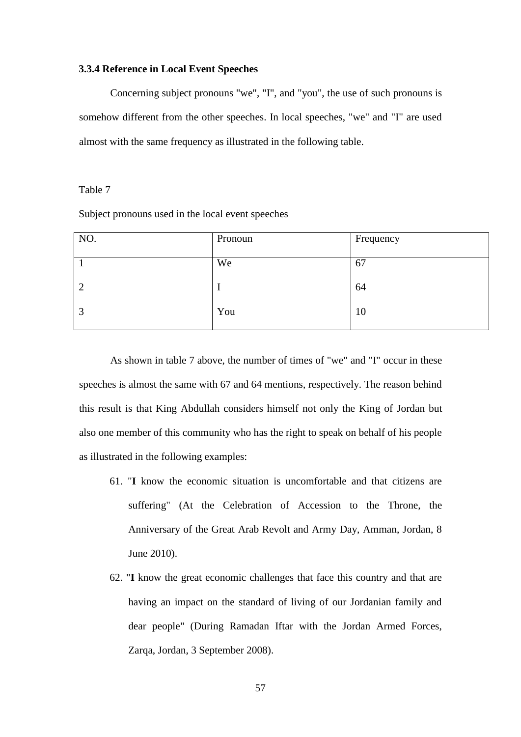### **3.3.4 Reference in Local Event Speeches**

Concerning subject pronouns "we", "I", and "you", the use of such pronouns is somehow different from the other speeches. In local speeches, "we" and "I" are used almost with the same frequency as illustrated in the following table.

# Table 7

Subject pronouns used in the local event speeches

| NO.            | Pronoun | Frequency |
|----------------|---------|-----------|
|                | We      | 67        |
| $\overline{2}$ |         | 64        |
| 3              | You     | 10        |

As shown in table 7 above, the number of times of "we" and "I" occur in these speeches is almost the same with 67 and 64 mentions, respectively. The reason behind this result is that King Abdullah considers himself not only the King of Jordan but also one member of this community who has the right to speak on behalf of his people as illustrated in the following examples:

- 61. "**I** know the economic situation is uncomfortable and that citizens are suffering" (At the Celebration of Accession to the Throne, the Anniversary of the Great Arab Revolt and Army Day, Amman, Jordan, 8 June 2010).
- 62. "**I** know the great economic challenges that face this country and that are having an impact on the standard of living of our Jordanian family and dear people" (During Ramadan Iftar with the Jordan Armed Forces, Zarqa, Jordan, 3 September 2008).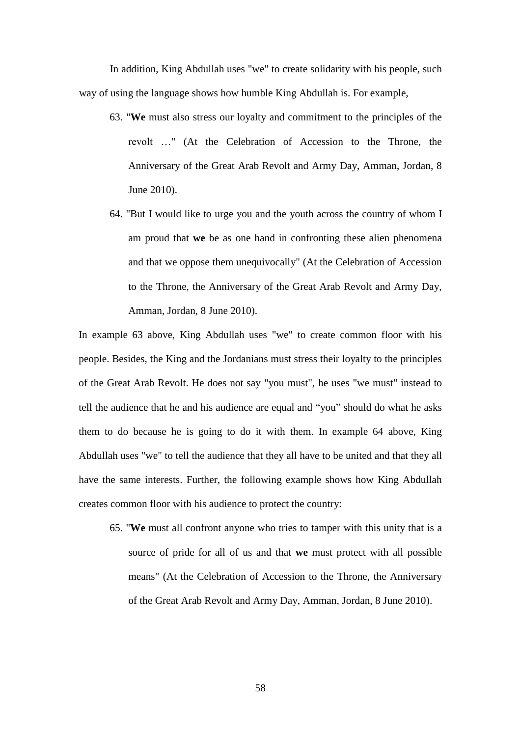In addition, King Abdullah uses "we" to create solidarity with his people, such way of using the language shows how humble King Abdullah is. For example,

- 63. "**We** must also stress our loyalty and commitment to the principles of the revolt …" (At the Celebration of Accession to the Throne, the Anniversary of the Great Arab Revolt and Army Day, Amman, Jordan, 8 June 2010).
- 64. "But I would like to urge you and the youth across the country of whom I am proud that **we** be as one hand in confronting these alien phenomena and that we oppose them unequivocally" (At the Celebration of Accession to the Throne, the Anniversary of the Great Arab Revolt and Army Day, Amman, Jordan, 8 June 2010).

In example 63 above, King Abdullah uses "we" to create common floor with his people. Besides, the King and the Jordanians must stress their loyalty to the principles of the Great Arab Revolt. He does not say "you must", he uses "we must" instead to tell the audience that he and his audience are equal and "you" should do what he asks them to do because he is going to do it with them. In example 64 above, King Abdullah uses "we" to tell the audience that they all have to be united and that they all have the same interests. Further, the following example shows how King Abdullah creates common floor with his audience to protect the country:

65. "**We** must all confront anyone who tries to tamper with this unity that is a source of pride for all of us and that **we** must protect with all possible means" (At the Celebration of Accession to the Throne, the Anniversary of the Great Arab Revolt and Army Day, Amman, Jordan, 8 June 2010).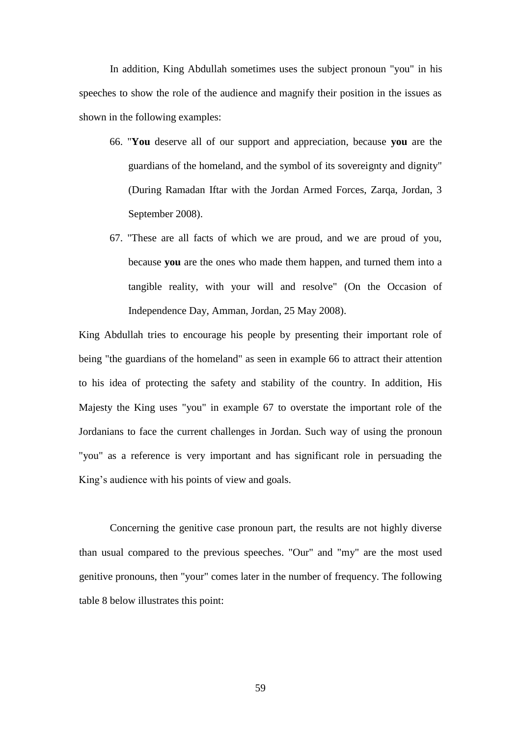In addition, King Abdullah sometimes uses the subject pronoun "you" in his speeches to show the role of the audience and magnify their position in the issues as shown in the following examples:

- 66. "**You** deserve all of our support and appreciation, because **you** are the guardians of the homeland, and the symbol of its sovereignty and dignity" (During Ramadan Iftar with the Jordan Armed Forces, Zarqa, Jordan, 3 September 2008).
- 67. "These are all facts of which we are proud, and we are proud of you, because **you** are the ones who made them happen, and turned them into a tangible reality, with your will and resolve" (On the Occasion of Independence Day, Amman, Jordan, 25 May 2008).

King Abdullah tries to encourage his people by presenting their important role of being "the guardians of the homeland" as seen in example 66 to attract their attention to his idea of protecting the safety and stability of the country. In addition, His Majesty the King uses "you" in example 67 to overstate the important role of the Jordanians to face the current challenges in Jordan. Such way of using the pronoun "you" as a reference is very important and has significant role in persuading the King's audience with his points of view and goals.

Concerning the genitive case pronoun part, the results are not highly diverse than usual compared to the previous speeches. "Our" and "my" are the most used genitive pronouns, then "your" comes later in the number of frequency. The following table 8 below illustrates this point: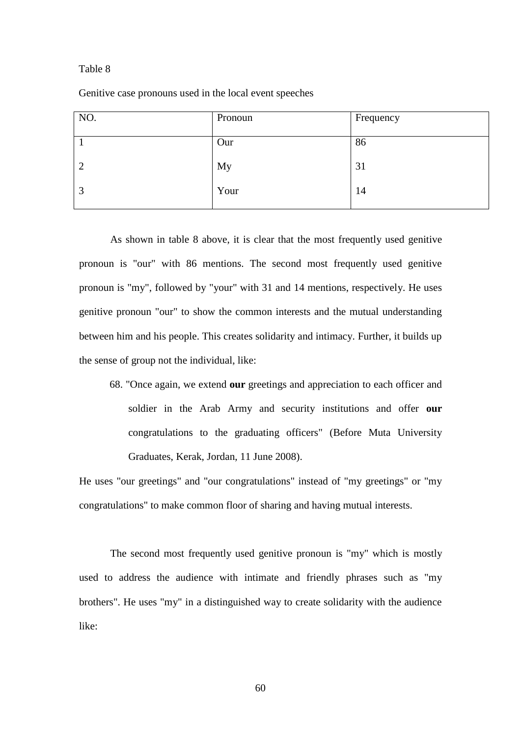#### Table 8

Genitive case pronouns used in the local event speeches

| NO.            | Pronoun | Frequency |
|----------------|---------|-----------|
|                | Our     | 86        |
| $\overline{2}$ | My      | 31        |
| 3              | Your    | 14        |

As shown in table 8 above, it is clear that the most frequently used genitive pronoun is "our" with 86 mentions. The second most frequently used genitive pronoun is "my", followed by "your" with 31 and 14 mentions, respectively. He uses genitive pronoun "our" to show the common interests and the mutual understanding between him and his people. This creates solidarity and intimacy. Further, it builds up the sense of group not the individual, like:

68. "Once again, we extend **our** greetings and appreciation to each officer and soldier in the Arab Army and security institutions and offer **our** congratulations to the graduating officers" (Before Muta University Graduates, Kerak, Jordan, 11 June 2008).

He uses "our greetings" and "our congratulations" instead of "my greetings" or "my congratulations" to make common floor of sharing and having mutual interests.

The second most frequently used genitive pronoun is "my" which is mostly used to address the audience with intimate and friendly phrases such as "my brothers". He uses "my" in a distinguished way to create solidarity with the audience like: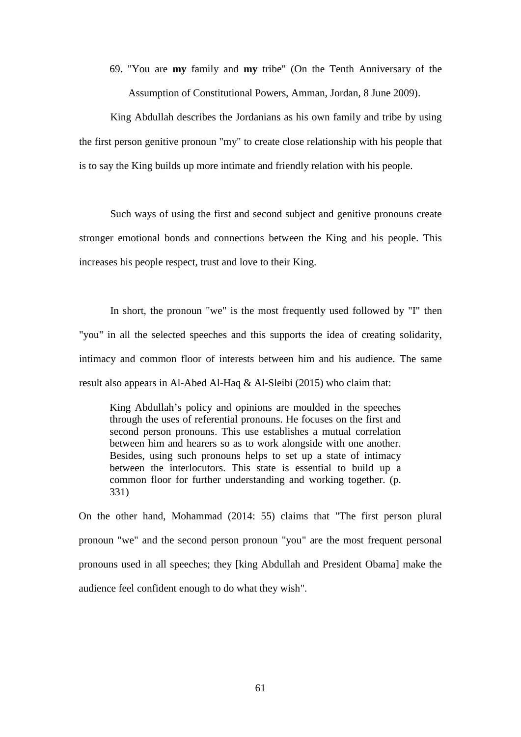69. "You are **my** family and **my** tribe" (On the Tenth Anniversary of the Assumption of Constitutional Powers, Amman, Jordan, 8 June 2009).

King Abdullah describes the Jordanians as his own family and tribe by using the first person genitive pronoun "my" to create close relationship with his people that is to say the King builds up more intimate and friendly relation with his people.

Such ways of using the first and second subject and genitive pronouns create stronger emotional bonds and connections between the King and his people. This increases his people respect, trust and love to their King.

In short, the pronoun "we" is the most frequently used followed by "I" then "you" in all the selected speeches and this supports the idea of creating solidarity, intimacy and common floor of interests between him and his audience. The same result also appears in Al-Abed Al-Haq & Al-Sleibi (2015) who claim that:

King Abdullah's policy and opinions are moulded in the speeches through the uses of referential pronouns. He focuses on the first and second person pronouns. This use establishes a mutual correlation between him and hearers so as to work alongside with one another. Besides, using such pronouns helps to set up a state of intimacy between the interlocutors. This state is essential to build up a common floor for further understanding and working together. (p. 331)

On the other hand, Mohammad (2014: 55) claims that "The first person plural pronoun "we" and the second person pronoun "you" are the most frequent personal pronouns used in all speeches; they [king Abdullah and President Obama] make the audience feel confident enough to do what they wish".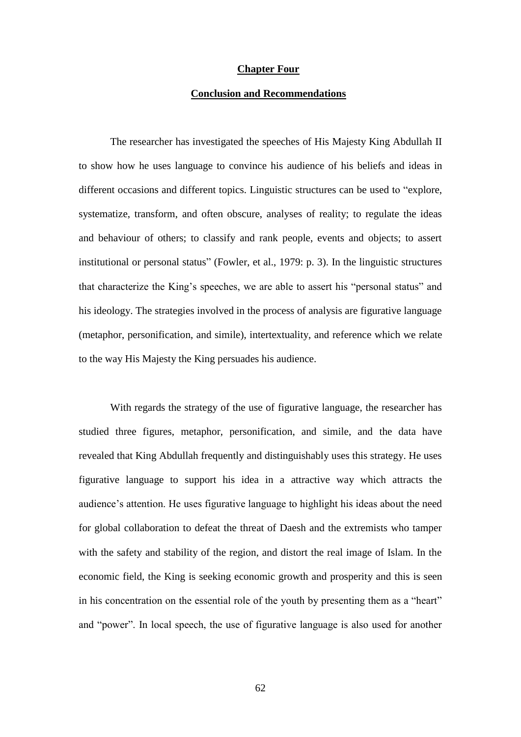#### **Chapter Four**

#### **Conclusion and Recommendations**

The researcher has investigated the speeches of His Majesty King Abdullah II to show how he uses language to convince his audience of his beliefs and ideas in different occasions and different topics. Linguistic structures can be used to "explore, systematize, transform, and often obscure, analyses of reality; to regulate the ideas and behaviour of others; to classify and rank people, events and objects; to assert institutional or personal status" (Fowler, et al., 1979: p. 3). In the linguistic structures that characterize the King's speeches, we are able to assert his "personal status" and his ideology. The strategies involved in the process of analysis are figurative language (metaphor, personification, and simile), intertextuality, and reference which we relate to the way His Majesty the King persuades his audience.

With regards the strategy of the use of figurative language, the researcher has studied three figures, metaphor, personification, and simile, and the data have revealed that King Abdullah frequently and distinguishably uses this strategy. He uses figurative language to support his idea in a attractive way which attracts the audience's attention. He uses figurative language to highlight his ideas about the need for global collaboration to defeat the threat of Daesh and the extremists who tamper with the safety and stability of the region, and distort the real image of Islam. In the economic field, the King is seeking economic growth and prosperity and this is seen in his concentration on the essential role of the youth by presenting them as a "heart" and "power". In local speech, the use of figurative language is also used for another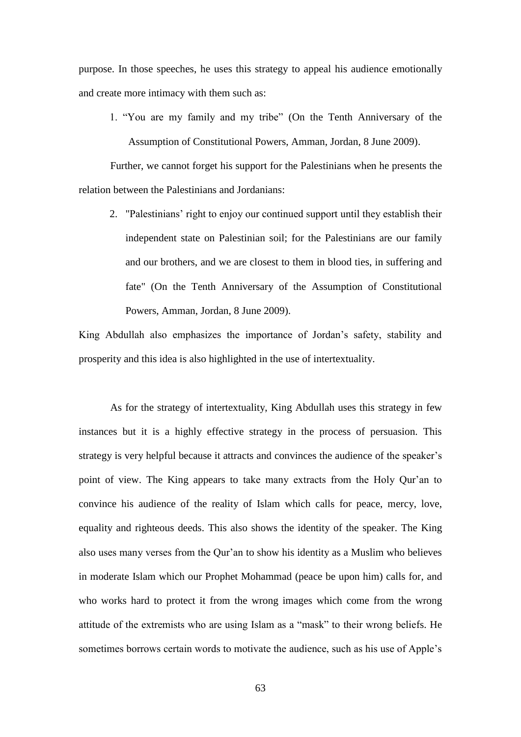purpose. In those speeches, he uses this strategy to appeal his audience emotionally and create more intimacy with them such as:

1. "You are my family and my tribe" (On the Tenth Anniversary of the Assumption of Constitutional Powers, Amman, Jordan, 8 June 2009).

Further, we cannot forget his support for the Palestinians when he presents the relation between the Palestinians and Jordanians:

2. "Palestinians' right to enjoy our continued support until they establish their independent state on Palestinian soil; for the Palestinians are our family and our brothers, and we are closest to them in blood ties, in suffering and fate" (On the Tenth Anniversary of the Assumption of Constitutional Powers, Amman, Jordan, 8 June 2009).

King Abdullah also emphasizes the importance of Jordan's safety, stability and prosperity and this idea is also highlighted in the use of intertextuality.

As for the strategy of intertextuality, King Abdullah uses this strategy in few instances but it is a highly effective strategy in the process of persuasion. This strategy is very helpful because it attracts and convinces the audience of the speaker's point of view. The King appears to take many extracts from the Holy Qur'an to convince his audience of the reality of Islam which calls for peace, mercy, love, equality and righteous deeds. This also shows the identity of the speaker. The King also uses many verses from the Qur'an to show his identity as a Muslim who believes in moderate Islam which our Prophet Mohammad (peace be upon him) calls for, and who works hard to protect it from the wrong images which come from the wrong attitude of the extremists who are using Islam as a "mask" to their wrong beliefs. He sometimes borrows certain words to motivate the audience, such as his use of Apple's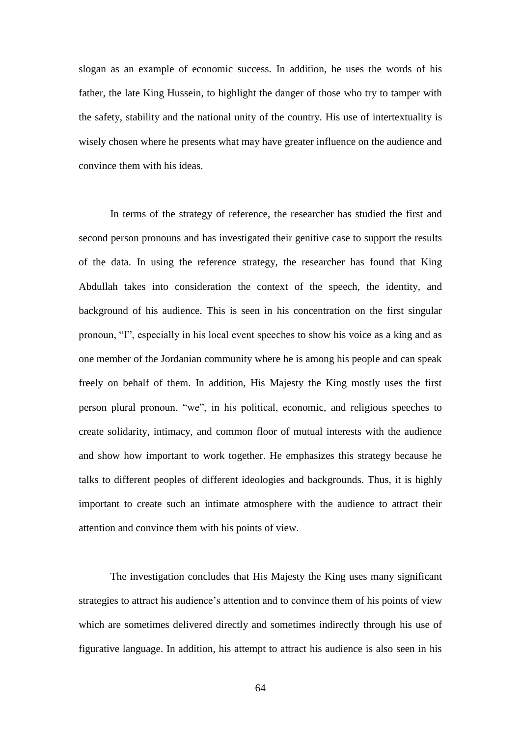slogan as an example of economic success. In addition, he uses the words of his father, the late King Hussein, to highlight the danger of those who try to tamper with the safety, stability and the national unity of the country. His use of intertextuality is wisely chosen where he presents what may have greater influence on the audience and convince them with his ideas.

In terms of the strategy of reference, the researcher has studied the first and second person pronouns and has investigated their genitive case to support the results of the data. In using the reference strategy, the researcher has found that King Abdullah takes into consideration the context of the speech, the identity, and background of his audience. This is seen in his concentration on the first singular pronoun, "I", especially in his local event speeches to show his voice as a king and as one member of the Jordanian community where he is among his people and can speak freely on behalf of them. In addition, His Majesty the King mostly uses the first person plural pronoun, "we", in his political, economic, and religious speeches to create solidarity, intimacy, and common floor of mutual interests with the audience and show how important to work together. He emphasizes this strategy because he talks to different peoples of different ideologies and backgrounds. Thus, it is highly important to create such an intimate atmosphere with the audience to attract their attention and convince them with his points of view.

The investigation concludes that His Majesty the King uses many significant strategies to attract his audience's attention and to convince them of his points of view which are sometimes delivered directly and sometimes indirectly through his use of figurative language. In addition, his attempt to attract his audience is also seen in his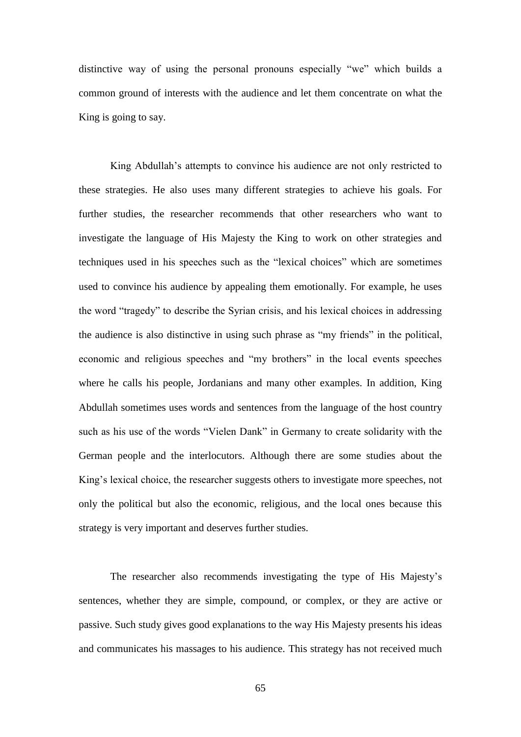distinctive way of using the personal pronouns especially "we" which builds a common ground of interests with the audience and let them concentrate on what the King is going to say.

King Abdullah's attempts to convince his audience are not only restricted to these strategies. He also uses many different strategies to achieve his goals. For further studies, the researcher recommends that other researchers who want to investigate the language of His Majesty the King to work on other strategies and techniques used in his speeches such as the "lexical choices" which are sometimes used to convince his audience by appealing them emotionally. For example, he uses the word "tragedy" to describe the Syrian crisis, and his lexical choices in addressing the audience is also distinctive in using such phrase as "my friends" in the political, economic and religious speeches and "my brothers" in the local events speeches where he calls his people, Jordanians and many other examples. In addition, King Abdullah sometimes uses words and sentences from the language of the host country such as his use of the words "Vielen Dank" in Germany to create solidarity with the German people and the interlocutors. Although there are some studies about the King's lexical choice, the researcher suggests others to investigate more speeches, not only the political but also the economic, religious, and the local ones because this strategy is very important and deserves further studies.

The researcher also recommends investigating the type of His Majesty's sentences, whether they are simple, compound, or complex, or they are active or passive. Such study gives good explanations to the way His Majesty presents his ideas and communicates his massages to his audience. This strategy has not received much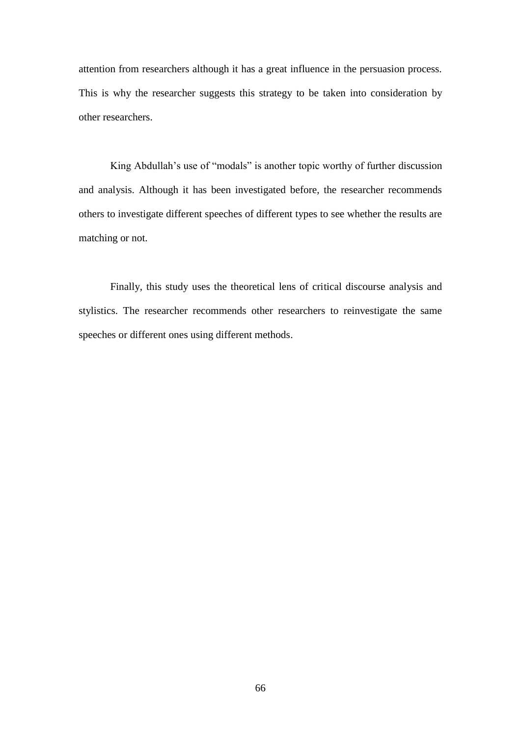attention from researchers although it has a great influence in the persuasion process. This is why the researcher suggests this strategy to be taken into consideration by other researchers.

King Abdullah's use of "modals" is another topic worthy of further discussion and analysis. Although it has been investigated before, the researcher recommends others to investigate different speeches of different types to see whether the results are matching or not.

Finally, this study uses the theoretical lens of critical discourse analysis and stylistics. The researcher recommends other researchers to reinvestigate the same speeches or different ones using different methods.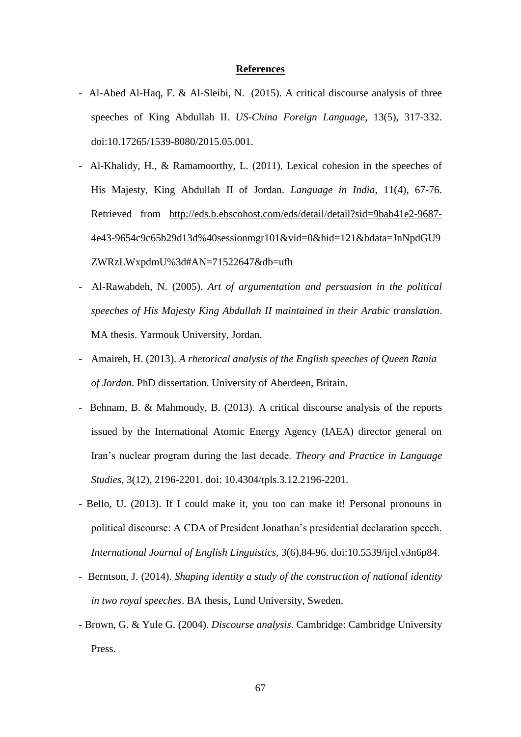## **References**

- Al-Abed Al-Haq, F. & Al-Sleibi, N. (2015). A critical discourse analysis of three speeches of King Abdullah II. *US-China Foreign Language*, 13(5), 317-332. doi:10.17265/1539-8080/2015.05.001.
- Al-Khalidy, H., & Ramamoorthy, L. (2011). Lexical cohesion in the speeches of His Majesty, King Abdullah II of Jordan. *Language in India*, 11(4), 67-76. Retrieved from [http://eds.b.ebscohost.com/eds/detail/detail?sid=9bab41e2-9687-](http://eds.b.ebscohost.com/eds/detail/detail?sid=9bab41e2-9687-4e43-9654c9c65b29d13d%40sessionmgr101&vid=0&hid=121&bdata=JnNpdGU9%20ZWRzLWxpdmU%3d#AN=71522647&db=ufh) [4e43-9654c9c65b29d13d%40sessionmgr101&vid=0&hid=121&bdata=JnNpdGU9](http://eds.b.ebscohost.com/eds/detail/detail?sid=9bab41e2-9687-4e43-9654c9c65b29d13d%40sessionmgr101&vid=0&hid=121&bdata=JnNpdGU9%20ZWRzLWxpdmU%3d#AN=71522647&db=ufh)  [ZWRzLWxpdmU%3d#AN=71522647&db=ufh](http://eds.b.ebscohost.com/eds/detail/detail?sid=9bab41e2-9687-4e43-9654c9c65b29d13d%40sessionmgr101&vid=0&hid=121&bdata=JnNpdGU9%20ZWRzLWxpdmU%3d#AN=71522647&db=ufh)
- Al-Rawabdeh, N. (2005). *Art of argumentation and persuasion in the political speeches of His Majesty King Abdullah II maintained in their Arabic translation*. MA thesis. Yarmouk University, Jordan.
- Amaireh, H. (2013). *A rhetorical analysis of the English speeches of Queen Rania of Jordan*. PhD dissertation. University of Aberdeen, Britain.
- Behnam, B. & Mahmoudy, B. (2013). A critical discourse analysis of the reports issued by the International Atomic Energy Agency (IAEA) director general on Iran's nuclear program during the last decade. *Theory and Practice in Language Studies*, 3(12), 2196-2201. doi: 10.4304/tpls.3.12.2196-2201.
- Bello, U. (2013). If I could make it, you too can make it! Personal pronouns in political discourse: A CDA of President Jonathan's presidential declaration speech. *International Journal of English Linguistics*, 3(6),84-96. doi:10.5539/ijel.v3n6p84.
- Berntson, J. (2014). *Shaping identity a study of the construction of national identity in two royal speeches*. BA thesis, Lund University, Sweden.
- Brown, G. & Yule G. (2004). *Discourse analysis*. Cambridge: Cambridge University Press.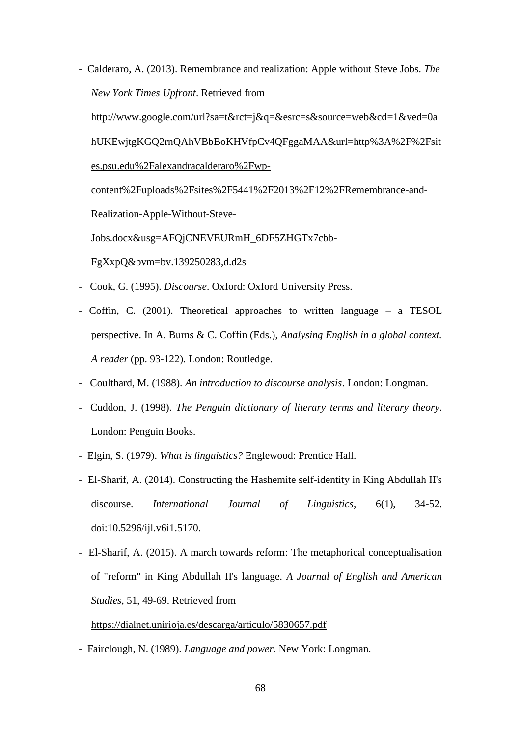- Calderaro, A. (2013). Remembrance and realization: Apple without Steve Jobs. *The New York Times Upfront*. Retrieved from

[http://www.google.com/url?sa=t&rct=j&q=&esrc=s&source=web&cd=1&ved=0a](http://www.google.com/url?sa=t&rct=j&q=&esrc=s&source=web&cd=1&ved=0ahUKEwjtgKGQ2rnQAhVBbBoKHVfpCv4QFggaMAA&url=http%3A%2F%2Fsites.psu.edu%2Falexandracalderaro%2Fwp-content%2Fuploads%2Fsites%2F5441%2F2013%2F12%2FRemembrance-and-Realization-Apple-Without-Steve-Jobs.docx&usg=AFQjCNEVEURmH_6DF5ZHGTx7cbb-FgXxpQ&bvm=bv.139250283,d.d2s) [hUKEwjtgKGQ2rnQAhVBbBoKHVfpCv4QFggaMAA&url=http%3A%2F%2Fsit](http://www.google.com/url?sa=t&rct=j&q=&esrc=s&source=web&cd=1&ved=0ahUKEwjtgKGQ2rnQAhVBbBoKHVfpCv4QFggaMAA&url=http%3A%2F%2Fsites.psu.edu%2Falexandracalderaro%2Fwp-content%2Fuploads%2Fsites%2F5441%2F2013%2F12%2FRemembrance-and-Realization-Apple-Without-Steve-Jobs.docx&usg=AFQjCNEVEURmH_6DF5ZHGTx7cbb-FgXxpQ&bvm=bv.139250283,d.d2s) [es.psu.edu%2Falexandracalderaro%2Fwp-](http://www.google.com/url?sa=t&rct=j&q=&esrc=s&source=web&cd=1&ved=0ahUKEwjtgKGQ2rnQAhVBbBoKHVfpCv4QFggaMAA&url=http%3A%2F%2Fsites.psu.edu%2Falexandracalderaro%2Fwp-content%2Fuploads%2Fsites%2F5441%2F2013%2F12%2FRemembrance-and-Realization-Apple-Without-Steve-Jobs.docx&usg=AFQjCNEVEURmH_6DF5ZHGTx7cbb-FgXxpQ&bvm=bv.139250283,d.d2s)

[content%2Fuploads%2Fsites%2F5441%2F2013%2F12%2FRemembrance-and-](http://www.google.com/url?sa=t&rct=j&q=&esrc=s&source=web&cd=1&ved=0ahUKEwjtgKGQ2rnQAhVBbBoKHVfpCv4QFggaMAA&url=http%3A%2F%2Fsites.psu.edu%2Falexandracalderaro%2Fwp-content%2Fuploads%2Fsites%2F5441%2F2013%2F12%2FRemembrance-and-Realization-Apple-Without-Steve-Jobs.docx&usg=AFQjCNEVEURmH_6DF5ZHGTx7cbb-FgXxpQ&bvm=bv.139250283,d.d2s)[Realization-Apple-Without-Steve-](http://www.google.com/url?sa=t&rct=j&q=&esrc=s&source=web&cd=1&ved=0ahUKEwjtgKGQ2rnQAhVBbBoKHVfpCv4QFggaMAA&url=http%3A%2F%2Fsites.psu.edu%2Falexandracalderaro%2Fwp-content%2Fuploads%2Fsites%2F5441%2F2013%2F12%2FRemembrance-and-Realization-Apple-Without-Steve-Jobs.docx&usg=AFQjCNEVEURmH_6DF5ZHGTx7cbb-FgXxpQ&bvm=bv.139250283,d.d2s)[Jobs.docx&usg=AFQjCNEVEURmH\\_6DF5ZHGTx7cbb-](http://www.google.com/url?sa=t&rct=j&q=&esrc=s&source=web&cd=1&ved=0ahUKEwjtgKGQ2rnQAhVBbBoKHVfpCv4QFggaMAA&url=http%3A%2F%2Fsites.psu.edu%2Falexandracalderaro%2Fwp-content%2Fuploads%2Fsites%2F5441%2F2013%2F12%2FRemembrance-and-Realization-Apple-Without-Steve-Jobs.docx&usg=AFQjCNEVEURmH_6DF5ZHGTx7cbb-FgXxpQ&bvm=bv.139250283,d.d2s)

[FgXxpQ&bvm=bv.139250283,d.d2s](http://www.google.com/url?sa=t&rct=j&q=&esrc=s&source=web&cd=1&ved=0ahUKEwjtgKGQ2rnQAhVBbBoKHVfpCv4QFggaMAA&url=http%3A%2F%2Fsites.psu.edu%2Falexandracalderaro%2Fwp-content%2Fuploads%2Fsites%2F5441%2F2013%2F12%2FRemembrance-and-Realization-Apple-Without-Steve-Jobs.docx&usg=AFQjCNEVEURmH_6DF5ZHGTx7cbb-FgXxpQ&bvm=bv.139250283,d.d2s)

- Cook, G. (1995). *Discourse*. Oxford: Oxford University Press.
- Coffin, C. (2001). Theoretical approaches to written language a TESOL perspective. In A. Burns & C. Coffin (Eds.), *Analysing English in a global context. A reader* (pp. 93-122). London: Routledge.
- Coulthard, M. (1988). *An introduction to discourse analysis*. London: Longman.
- Cuddon, J. (1998). *The Penguin dictionary of literary terms and literary theory*. London: Penguin Books.
- Elgin, S. (1979). *What is linguistics?* Englewood: Prentice Hall.
- El-Sharif, A. (2014). Constructing the Hashemite self-identity in King Abdullah II's discourse. *International Journal of Linguistics*, 6(1), 34-52. doi:10.5296/ijl.v6i1.5170.
- El-Sharif, A. (2015). A march towards reform: The metaphorical conceptualisation of "reform" in King Abdullah II's language. *A Journal of English and American Studies*, 51, 49-69. Retrieved from

## <https://dialnet.unirioja.es/descarga/articulo/5830657.pdf>

- Fairclough, N. (1989). *Language and power.* New York: Longman.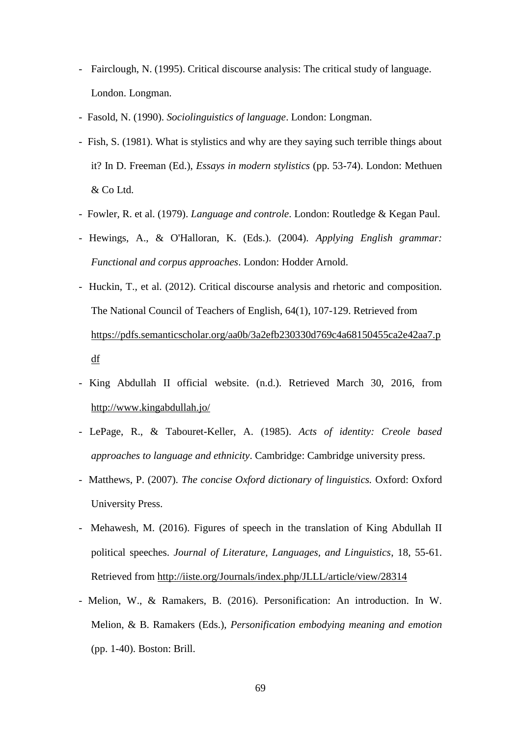- Fairclough, N. (1995). Critical discourse analysis: The critical study of language. London. Longman.
- Fasold, N. (1990). *Sociolinguistics of language*. London: Longman.
- Fish, S. (1981). What is stylistics and why are they saying such terrible things about it? In D. Freeman (Ed.), *Essays in modern stylistics* (pp. 53-74). London: Methuen & Co Ltd.
- Fowler, R. et al. (1979). *Language and controle*. London: Routledge & Kegan Paul.
- Hewings, A., & O'Halloran, K. (Eds.). (2004). *Applying English grammar: Functional and corpus approaches*. London: Hodder Arnold.
- Huckin, T., et al. (2012). Critical discourse analysis and rhetoric and composition. The National Council of Teachers of English, 64(1), 107-129. Retrieved from [https://pdfs.semanticscholar.org/aa0b/3a2efb230330d769c4a68150455ca2e42aa7.p](https://pdfs.semanticscholar.org/aa0b/3a2efb230330d769c4a68150455ca2e42aa7.pdf) [df](https://pdfs.semanticscholar.org/aa0b/3a2efb230330d769c4a68150455ca2e42aa7.pdf)
- King Abdullah II official website. (n.d.). Retrieved March 30, 2016, from http://www.kingabdullah.jo/
- LePage, R., & Tabouret-Keller, A. (1985). *Acts of identity: Creole based approaches to language and ethnicity*. Cambridge: Cambridge university press.
- Matthews, P. (2007). *The concise Oxford dictionary of linguistics.* Oxford: Oxford University Press.
- Mehawesh, M. (2016). Figures of speech in the translation of King Abdullah II political speeches. *Journal of Literature, Languages, and Linguistics*, 18, 55-61. Retrieved from<http://iiste.org/Journals/index.php/JLLL/article/view/28314>
- Melion, W., & Ramakers, B. (2016). Personification: An introduction. In W. Melion, & B. Ramakers (Eds.), *Personification embodying meaning and emotion* (pp. 1-40). Boston: Brill.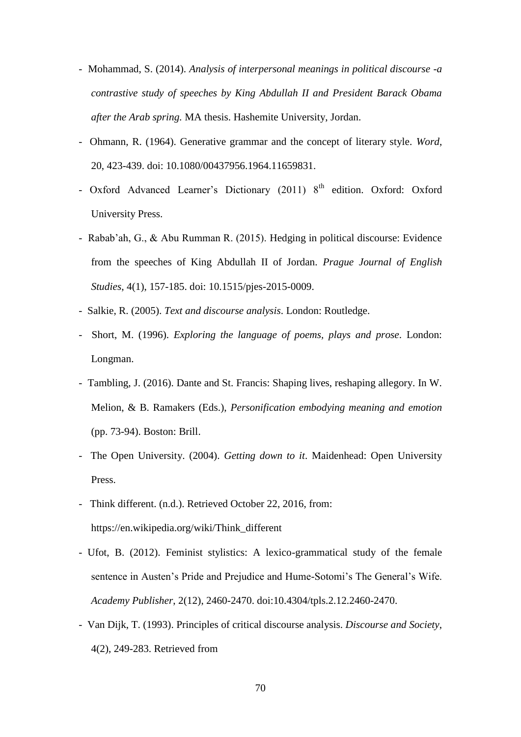- Mohammad, S. (2014). *Analysis of interpersonal meanings in political discourse -a contrastive study of speeches by King Abdullah II and President Barack Obama after the Arab spring.* MA thesis. Hashemite University, Jordan.
- Ohmann, R. (1964). Generative grammar and the concept of literary style. *Word*, 20, 423-439. doi: 10.1080/00437956.1964.11659831.
- Oxford Advanced Learner's Dictionary (2011) 8<sup>th</sup> edition. Oxford: Oxford University Press.
- Rabab'ah, G., & Abu Rumman R. (2015). Hedging in political discourse: Evidence from the speeches of King Abdullah II of Jordan. *Prague Journal of English Studies*, 4(1), 157-185. doi: 10.1515/pjes-2015-0009.
- Salkie, R. (2005). *Text and discourse analysis*. London: Routledge.
- Short, M. (1996). *Exploring the language of poems, plays and prose*. London: Longman.
- Tambling, J. (2016). Dante and St. Francis: Shaping lives, reshaping allegory. In W. Melion, & B. Ramakers (Eds.), *Personification embodying meaning and emotion* (pp. 73-94). Boston: Brill.
- The Open University. (2004). *Getting down to it*. Maidenhead: Open University Press.
- Think different. (n.d.). Retrieved October 22, 2016, from: https://en.wikipedia.org/wiki/Think\_different
- Ufot, B. (2012). Feminist stylistics: A lexico-grammatical study of the female sentence in Austen's Pride and Prejudice and Hume-Sotomi's The General's Wife. *Academy Publisher*, 2(12), 2460-2470. doi:10.4304/tpls.2.12.2460-2470.
- Van Dijk, T. (1993). Principles of critical discourse analysis. *Discourse and Society*, 4(2), 249-283. Retrieved from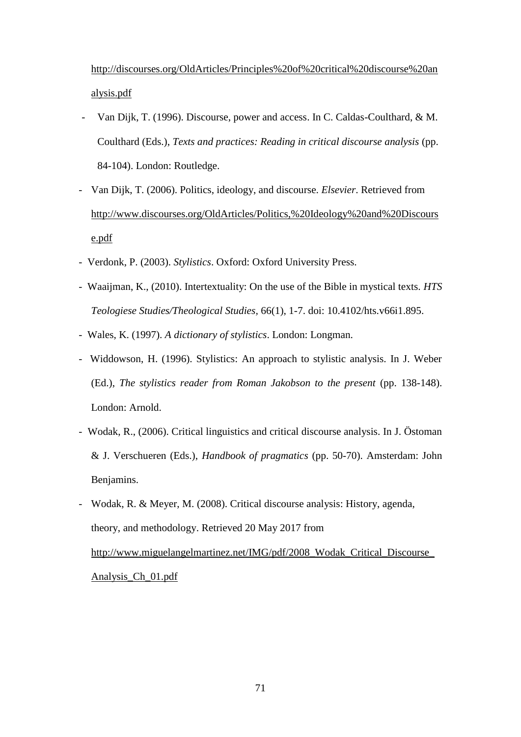[http://discourses.org/OldArticles/Principles%20of%20critical%20discourse%20an](http://discourses.org/OldArticles/Principles%20of%20critical%20discourse%20analysis.pdf) [alysis.pdf](http://discourses.org/OldArticles/Principles%20of%20critical%20discourse%20analysis.pdf)

- Van Dijk, T. (1996). Discourse, power and access. In C. Caldas-Coulthard, & M. Coulthard (Eds.), *Texts and practices: Reading in critical discourse analysis* (pp. 84-104). London: Routledge.
- Van Dijk, T. (2006). Politics, ideology, and discourse. *Elsevier*. Retrieved from [http://www.discourses.org/OldArticles/Politics,%20Ideology%20and%20Discours](http://www.discourses.org/OldArticles/Politics,%20Ideology%20and%20Discourse.pdf) [e.pdf](http://www.discourses.org/OldArticles/Politics,%20Ideology%20and%20Discourse.pdf)
- Verdonk, P. (2003). *Stylistics*. Oxford: Oxford University Press.
- Waaijman, K., (2010). Intertextuality: On the use of the Bible in mystical texts. *HTS Teologiese Studies/Theological Studies,* 66(1), 1-7. doi: 10.4102/hts.v66i1.895.
- Wales, K. (1997). *A dictionary of stylistics*. London: Longman.
- Widdowson, H. (1996). Stylistics: An approach to stylistic analysis. In J. Weber (Ed.), *The stylistics reader from Roman Jakobson to the present* (pp. 138-148). London: Arnold.
- Wodak, R., (2006). Critical linguistics and critical discourse analysis. In J. Östoman & J. Verschueren (Eds.), *Handbook of pragmatics* (pp. 50-70). Amsterdam: John Benjamins.
- Wodak, R. & Meyer, M. (2008). Critical discourse analysis: History, agenda, theory, and methodology. Retrieved 20 May 2017 from [http://www.miguelangelmartinez.net/IMG/pdf/2008\\_Wodak\\_Critical\\_Discourse\\_](http://www.miguelangelmartinez.net/IMG/pdf/2008_Wodak_Critical_Discourse_Analysis_Ch_01.pdf) [Analysis\\_Ch\\_01.pdf](http://www.miguelangelmartinez.net/IMG/pdf/2008_Wodak_Critical_Discourse_Analysis_Ch_01.pdf)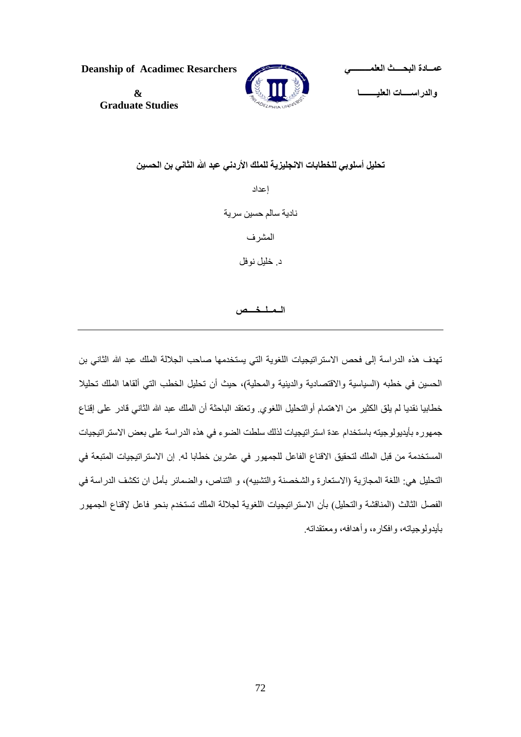**Deanship of Acadimec Resarchers العلمـــــــــي البحــــث عمــادة والدراســــات العليــــــــا & Graduate Studies** 

**تحليل أسلوبي للخطابات االنجليزية للملك األردني عبد َّللا الثاني بن الحسين**  إعداد نادية سالم حسين سرية المشرف د. خليل نوفل

## **الــمــلــخــــص**

تهدف هذه الدراسة إلى فحص الاستراتيجيات اللغوية التي يستخدمها صاحب الجلالة الملك عبد الله الثاني بن الحسين في خطبه (السياسية والاقتصادية والدينية والمحلية)، حيث أن تحليل الخطب التي ألقاها الملك تحليلا خطابيا نقديا لم يلق الكثير من الاهتمام أوالتحليل اللغوي. وتعتقد الباحثة أن الملك عبد الله الثاني قادر على إقناع جمهوره بأيديولوجيته باستخدام عدة استراتيجيات لذلك سلطت الضوء في هذه الدراسة على بعض االستراتيجيات المستخدمة من قبل الملك لتحقيق االقناع الفاعل للجمهور في عشرين خطابا له. إن االستراتيجيات المتبعة في التحليل هي: اللغة المجازية (الاستعارة والشخصنة والتشبيه)، و التناص، والضمائر بأمل ان تكشف الدراسة في الفصل الثالث (المناقشة والتحليل) بأن الاستراتيجيات اللغوية لجلالة الملك تستخدم بنحو فاعل لإقناع الجمهور بأيدولوجياته، وافكاره، وأهدافه، ومعتقداته.